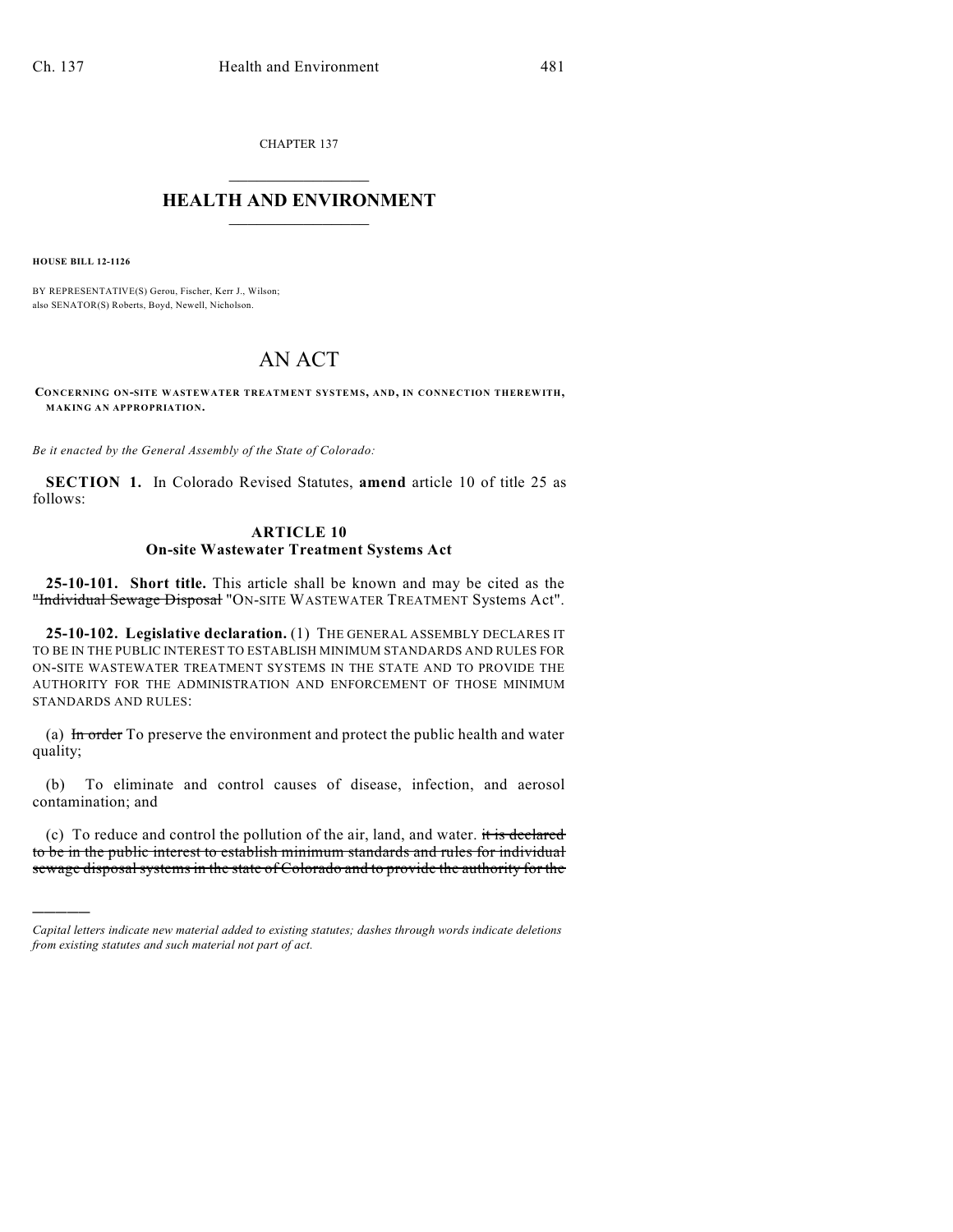CHAPTER 137  $\overline{\phantom{a}}$  . The set of the set of the set of the set of the set of the set of the set of the set of the set of the set of the set of the set of the set of the set of the set of the set of the set of the set of the set o

## **HEALTH AND ENVIRONMENT**  $\_$

**HOUSE BILL 12-1126**

)))))

BY REPRESENTATIVE(S) Gerou, Fischer, Kerr J., Wilson; also SENATOR(S) Roberts, Boyd, Newell, Nicholson.

## AN ACT

**CONCERNING ON-SITE WASTEWATER TREATMENT SYSTEMS, AND, IN CONNECTION THEREWITH, MAKING AN APPROPRIATION.**

*Be it enacted by the General Assembly of the State of Colorado:*

**SECTION 1.** In Colorado Revised Statutes, **amend** article 10 of title 25 as follows:

## **ARTICLE 10 On-site Wastewater Treatment Systems Act**

**25-10-101. Short title.** This article shall be known and may be cited as the "Individual Sewage Disposal "ON-SITE WASTEWATER TREATMENT Systems Act".

**25-10-102. Legislative declaration.** (1) THE GENERAL ASSEMBLY DECLARES IT TO BE IN THE PUBLIC INTEREST TO ESTABLISH MINIMUM STANDARDS AND RULES FOR ON-SITE WASTEWATER TREATMENT SYSTEMS IN THE STATE AND TO PROVIDE THE AUTHORITY FOR THE ADMINISTRATION AND ENFORCEMENT OF THOSE MINIMUM STANDARDS AND RULES:

(a) In order To preserve the environment and protect the public health and water quality;

(b) To eliminate and control causes of disease, infection, and aerosol contamination; and

(c) To reduce and control the pollution of the air, land, and water. it is declared to be in the public interest to establish minimum standards and rules for individual sewage disposal systems in the state of Colorado and to provide the authority for the

*Capital letters indicate new material added to existing statutes; dashes through words indicate deletions from existing statutes and such material not part of act.*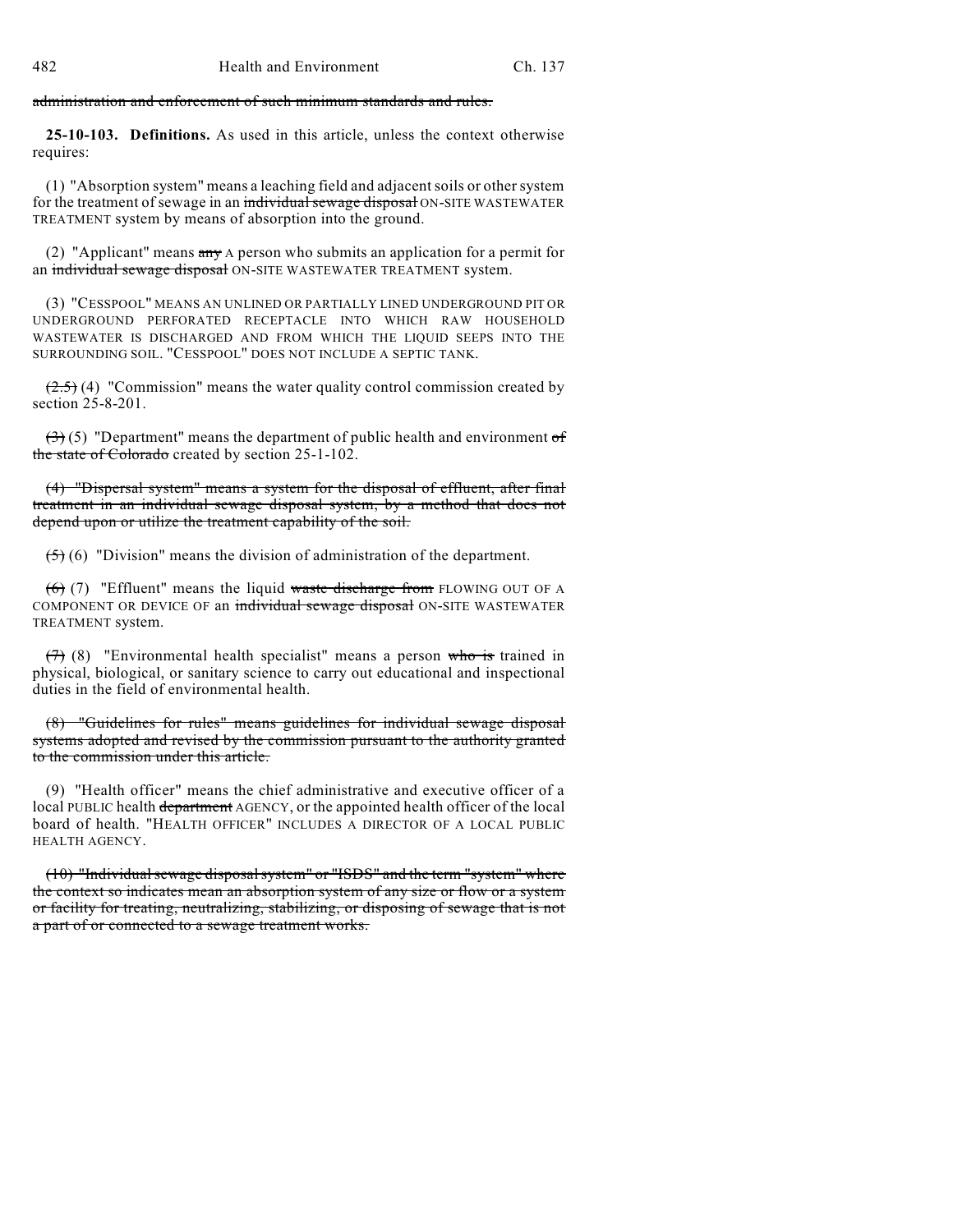administration and enforcement of such minimum standards and rules.

**25-10-103. Definitions.** As used in this article, unless the context otherwise requires:

(1) "Absorption system" means a leaching field and adjacent soils or other system for the treatment of sewage in an individual sewage disposal ON-SITE WASTEWATER TREATMENT system by means of absorption into the ground.

(2) "Applicant" means any A person who submits an application for a permit for an individual sewage disposal ON-SITE WASTEWATER TREATMENT system.

(3) "CESSPOOL" MEANS AN UNLINED OR PARTIALLY LINED UNDERGROUND PIT OR UNDERGROUND PERFORATED RECEPTACLE INTO WHICH RAW HOUSEHOLD WASTEWATER IS DISCHARGED AND FROM WHICH THE LIQUID SEEPS INTO THE SURROUNDING SOIL. "CESSPOOL" DOES NOT INCLUDE A SEPTIC TANK.

 $(2.5)$  (4) "Commission" means the water quality control commission created by section 25-8-201.

 $(3)(5)$  "Department" means the department of public health and environment of the state of Colorado created by section 25-1-102.

(4) "Dispersal system" means a system for the disposal of effluent, after final treatment in an individual sewage disposal system, by a method that does not depend upon or utilize the treatment capability of the soil.

 $(5)$  (6) "Division" means the division of administration of the department.

 $(6)$  (7) "Effluent" means the liquid waste discharge from FLOWING OUT OF A COMPONENT OR DEVICE OF an individual sewage disposal ON-SITE WASTEWATER TREATMENT system.

 $(7)$  (8) "Environmental health specialist" means a person who is trained in physical, biological, or sanitary science to carry out educational and inspectional duties in the field of environmental health.

(8) "Guidelines for rules" means guidelines for individual sewage disposal systems adopted and revised by the commission pursuant to the authority granted to the commission under this article.

(9) "Health officer" means the chief administrative and executive officer of a local PUBLIC health department AGENCY, or the appointed health officer of the local board of health. "HEALTH OFFICER" INCLUDES A DIRECTOR OF A LOCAL PUBLIC HEALTH AGENCY.

 $(10)$  "Individual sewage disposal system" or "ISDS" and the term "system" where the context so indicates mean an absorption system of any size or flow or a system or facility for treating, neutralizing, stabilizing, or disposing of sewage that is not a part of or connected to a sewage treatment works.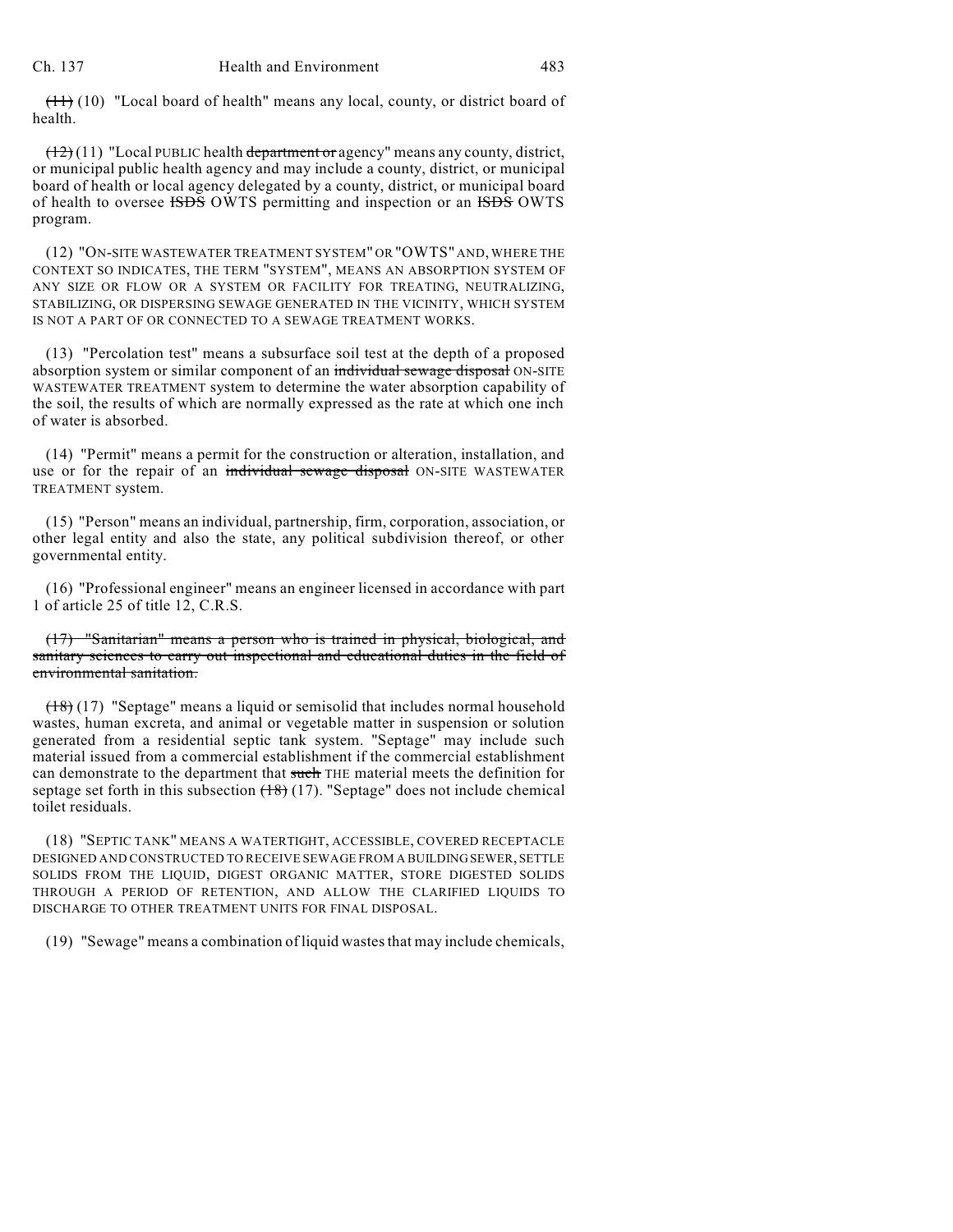$(11)$  (10) "Local board of health" means any local, county, or district board of health.

 $(12)(11)$  "Local PUBLIC health department or agency" means any county, district, or municipal public health agency and may include a county, district, or municipal board of health or local agency delegated by a county, district, or municipal board of health to oversee ISDS OWTS permitting and inspection or an ISDS OWTS program.

(12) "ON-SITE WASTEWATER TREATMENT SYSTEM" OR "OWTS" AND, WHERE THE CONTEXT SO INDICATES, THE TERM "SYSTEM", MEANS AN ABSORPTION SYSTEM OF ANY SIZE OR FLOW OR A SYSTEM OR FACILITY FOR TREATING, NEUTRALIZING, STABILIZING, OR DISPERSING SEWAGE GENERATED IN THE VICINITY, WHICH SYSTEM IS NOT A PART OF OR CONNECTED TO A SEWAGE TREATMENT WORKS.

(13) "Percolation test" means a subsurface soil test at the depth of a proposed absorption system or similar component of an individual sewage disposal ON-SITE WASTEWATER TREATMENT system to determine the water absorption capability of the soil, the results of which are normally expressed as the rate at which one inch of water is absorbed.

(14) "Permit" means a permit for the construction or alteration, installation, and use or for the repair of an individual sewage disposal ON-SITE WASTEWATER TREATMENT system.

(15) "Person" means an individual, partnership, firm, corporation, association, or other legal entity and also the state, any political subdivision thereof, or other governmental entity.

(16) "Professional engineer" means an engineer licensed in accordance with part 1 of article 25 of title 12, C.R.S.

(17) "Sanitarian" means a person who is trained in physical, biological, and sanitary sciences to carry out inspectional and educational duties in the field of environmental sanitation.

(18) (17) "Septage" means a liquid or semisolid that includes normal household wastes, human excreta, and animal or vegetable matter in suspension or solution generated from a residential septic tank system. "Septage" may include such material issued from a commercial establishment if the commercial establishment can demonstrate to the department that such THE material meets the definition for septage set forth in this subsection  $(18)(17)$ . "Septage" does not include chemical toilet residuals.

(18) "SEPTIC TANK" MEANS A WATERTIGHT, ACCESSIBLE, COVERED RECEPTACLE DESIGNED AND CONSTRUCTED TO RECEIVE SEWAGE FROM A BUILDINGSEWER, SETTLE SOLIDS FROM THE LIQUID, DIGEST ORGANIC MATTER, STORE DIGESTED SOLIDS THROUGH A PERIOD OF RETENTION, AND ALLOW THE CLARIFIED LIQUIDS TO DISCHARGE TO OTHER TREATMENT UNITS FOR FINAL DISPOSAL.

(19) "Sewage" means a combination of liquid wastesthat may include chemicals,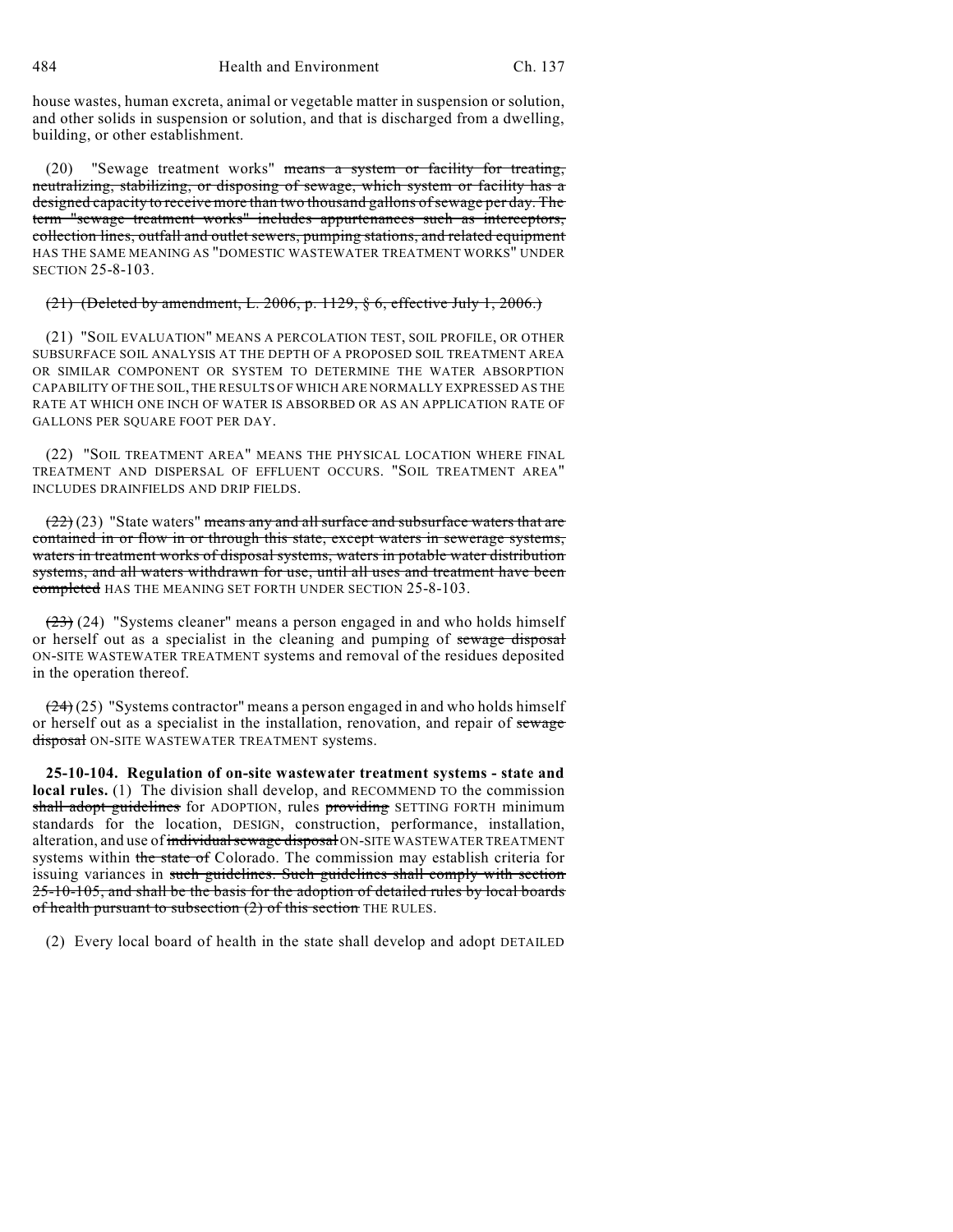484 Health and Environment Ch. 137

house wastes, human excreta, animal or vegetable matter in suspension or solution, and other solids in suspension or solution, and that is discharged from a dwelling, building, or other establishment.

(20) "Sewage treatment works" means a system or facility for treating, neutralizing, stabilizing, or disposing of sewage, which system or facility has a designed capacity to receive more than two thousand gallons of sewage per day. The term "sewage treatment works" includes appurtenances such as interceptors, collection lines, outfall and outlet sewers, pumping stations, and related equipment HAS THE SAME MEANING AS "DOMESTIC WASTEWATER TREATMENT WORKS" UNDER SECTION 25-8-103.

## $(21)$  (Deleted by amendment, L. 2006, p. 1129, § 6, effective July 1, 2006.)

(21) "SOIL EVALUATION" MEANS A PERCOLATION TEST, SOIL PROFILE, OR OTHER SUBSURFACE SOIL ANALYSIS AT THE DEPTH OF A PROPOSED SOIL TREATMENT AREA OR SIMILAR COMPONENT OR SYSTEM TO DETERMINE THE WATER ABSORPTION CAPABILITY OF THE SOIL, THE RESULTS OF WHICH ARE NORMALLY EXPRESSED AS THE RATE AT WHICH ONE INCH OF WATER IS ABSORBED OR AS AN APPLICATION RATE OF GALLONS PER SQUARE FOOT PER DAY.

(22) "SOIL TREATMENT AREA" MEANS THE PHYSICAL LOCATION WHERE FINAL TREATMENT AND DISPERSAL OF EFFLUENT OCCURS. "SOIL TREATMENT AREA" INCLUDES DRAINFIELDS AND DRIP FIELDS.

 $(22)(23)$  "State waters" means any and all surface and subsurface waters that are contained in or flow in or through this state, except waters in sewerage systems, waters in treatment works of disposal systems, waters in potable water distribution systems, and all waters withdrawn for use, until all uses and treatment have been completed HAS THE MEANING SET FORTH UNDER SECTION 25-8-103.

 $(23)$  (24) "Systems cleaner" means a person engaged in and who holds himself or herself out as a specialist in the cleaning and pumping of sewage disposal ON-SITE WASTEWATER TREATMENT systems and removal of the residues deposited in the operation thereof.

 $(24)(25)$  "Systems contractor" means a person engaged in and who holds himself or herself out as a specialist in the installation, renovation, and repair of sewage disposal ON-SITE WASTEWATER TREATMENT systems.

**25-10-104. Regulation of on-site wastewater treatment systems - state and local rules.** (1) The division shall develop, and RECOMMEND TO the commission shall adopt guidelines for ADOPTION, rules providing SETTING FORTH minimum standards for the location, DESIGN, construction, performance, installation, alteration, and use of individual sewage disposal ON-SITE WASTEWATER TREATMENT systems within the state of Colorado. The commission may establish criteria for issuing variances in such guidelines. Such guidelines shall comply with section 25-10-105, and shall be the basis for the adoption of detailed rules by local boards of health pursuant to subsection (2) of this section THE RULES.

(2) Every local board of health in the state shall develop and adopt DETAILED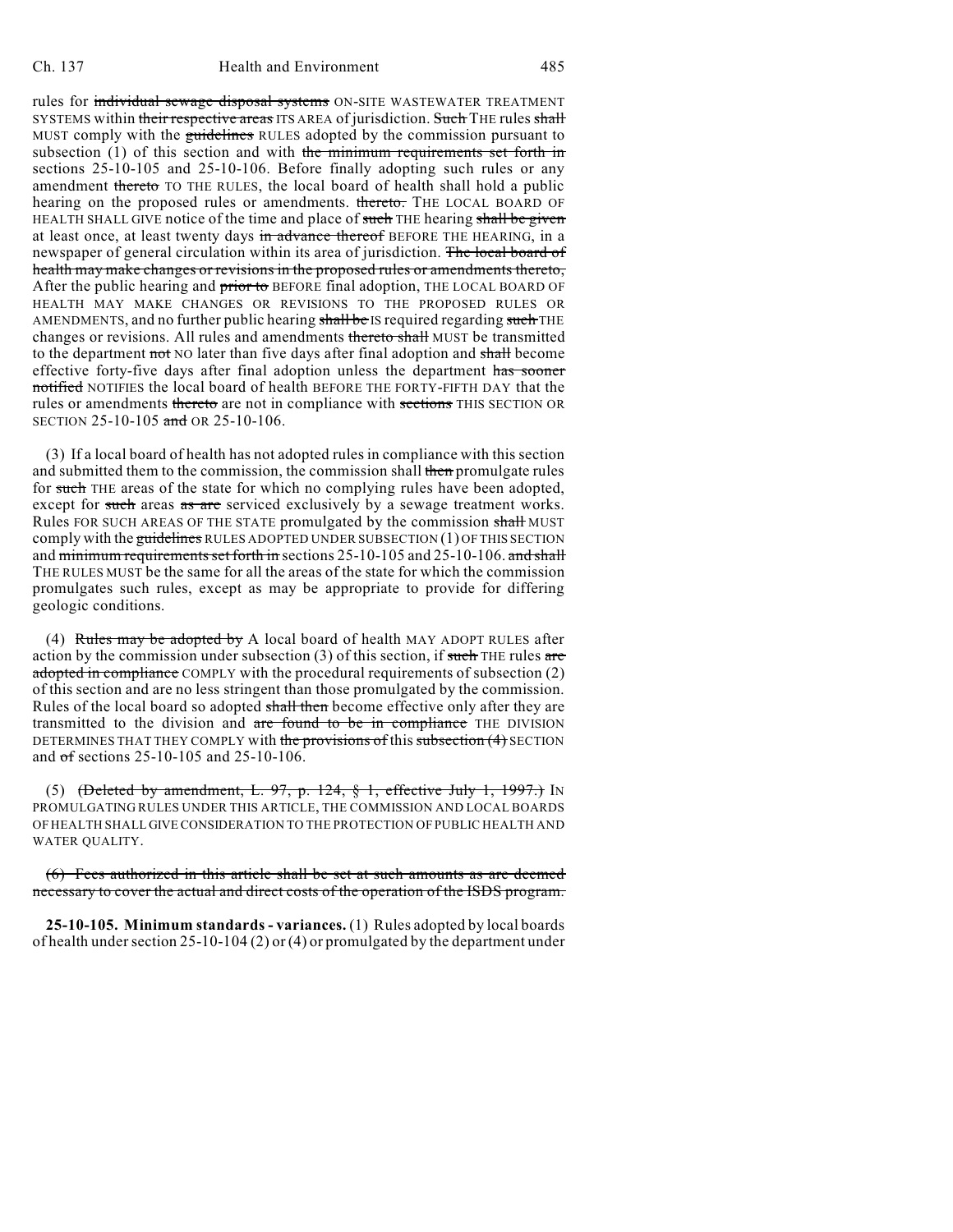rules for individual sewage disposal systems ON-SITE WASTEWATER TREATMENT SYSTEMS within their respective areas ITS AREA of jurisdiction. Such THE rules shall MUST comply with the guidelines RULES adopted by the commission pursuant to subsection (1) of this section and with the minimum requirements set forth in sections 25-10-105 and 25-10-106. Before finally adopting such rules or any amendment thereto TO THE RULES, the local board of health shall hold a public hearing on the proposed rules or amendments. thereto. THE LOCAL BOARD OF HEALTH SHALL GIVE notice of the time and place of such THE hearing shall be given at least once, at least twenty days in advance thereof BEFORE THE HEARING, in a newspaper of general circulation within its area of jurisdiction. The local board of health may make changes or revisions in the proposed rules or amendments thereto, After the public hearing and prior to BEFORE final adoption, THE LOCAL BOARD OF HEALTH MAY MAKE CHANGES OR REVISIONS TO THE PROPOSED RULES OR AMENDMENTS, and no further public hearing shall be IS required regarding such THE changes or revisions. All rules and amendments thereto shall MUST be transmitted to the department not NO later than five days after final adoption and shall become effective forty-five days after final adoption unless the department has sooner notified NOTIFIES the local board of health BEFORE THE FORTY-FIFTH DAY that the rules or amendments thereto are not in compliance with sections THIS SECTION OR SECTION 25-10-105 and OR 25-10-106.

(3) If a local board of health has not adopted rules in compliance with this section and submitted them to the commission, the commission shall then promulgate rules for such THE areas of the state for which no complying rules have been adopted, except for such areas as are serviced exclusively by a sewage treatment works. Rules FOR SUCH AREAS OF THE STATE promulgated by the commission shall MUST comply with the guidelines RULES ADOPTED UNDER SUBSECTION (1) OF THIS SECTION and minimum requirements set forth in sections 25-10-105 and 25-10-106. and shall THE RULES MUST be the same for all the areas of the state for which the commission promulgates such rules, except as may be appropriate to provide for differing geologic conditions.

(4) Rules may be adopted by A local board of health MAY ADOPT RULES after action by the commission under subsection  $(3)$  of this section, if such THE rules are adopted in compliance COMPLY with the procedural requirements of subsection (2) of this section and are no less stringent than those promulgated by the commission. Rules of the local board so adopted shall then become effective only after they are transmitted to the division and are found to be in compliance THE DIVISION DETERMINES THAT THEY COMPLY with the provisions of this subsection (4) SECTION and of sections 25-10-105 and 25-10-106.

(5) (Deleted by amendment, L.  $97$ , p. 124, § 1, effective July 1, 1997.) In PROMULGATING RULES UNDER THIS ARTICLE, THE COMMISSION AND LOCAL BOARDS OF HEALTH SHALL GIVE CONSIDERATION TO THE PROTECTION OF PUBLIC HEALTH AND WATER QUALITY.

(6) Fees authorized in this article shall be set at such amounts as are deemed necessary to cover the actual and direct costs of the operation of the ISDS program.

**25-10-105. Minimum standards - variances.** (1) Rules adopted by local boards of health under section 25-10-104 (2) or (4) or promulgated by the department under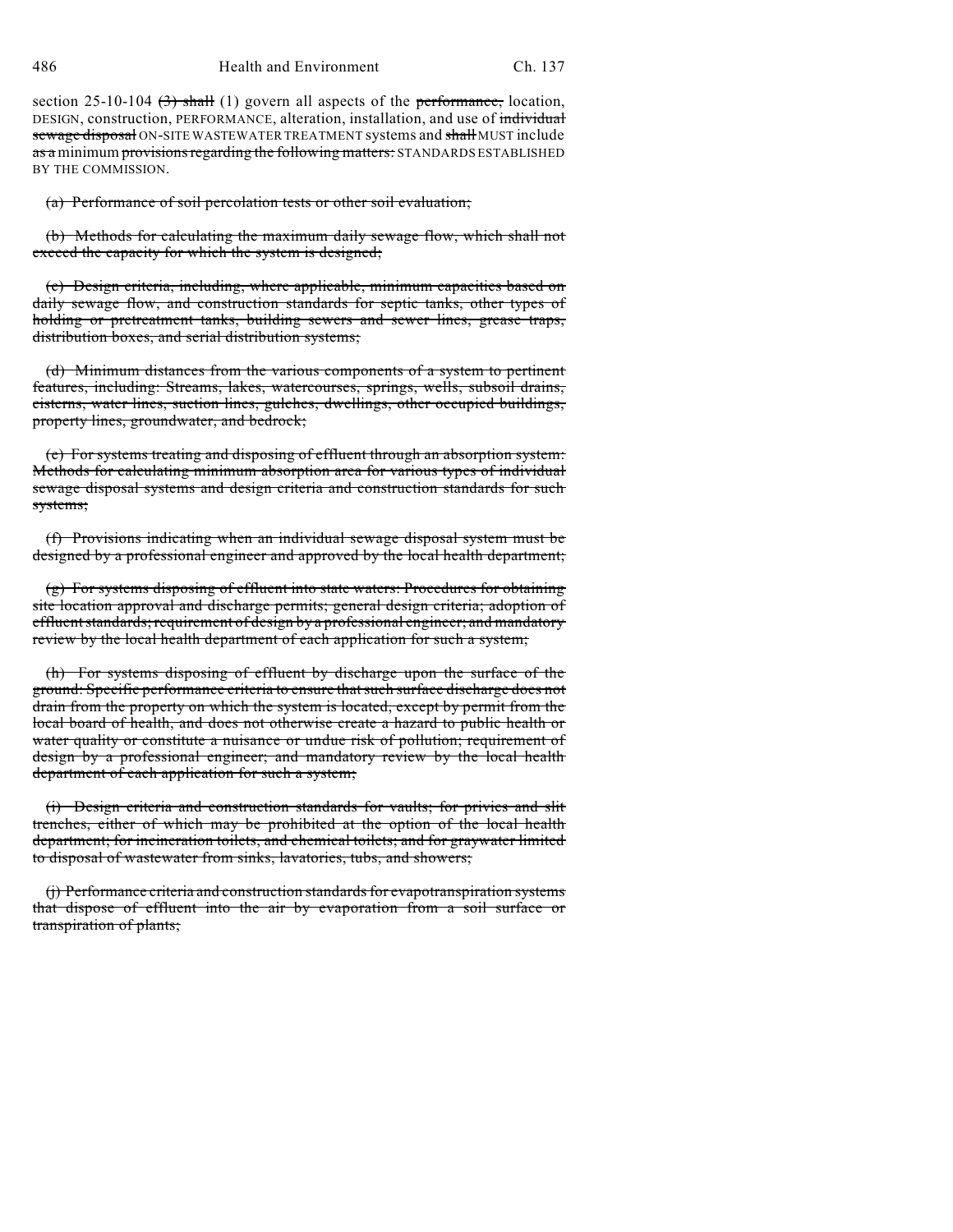486 Health and Environment Ch. 137

section 25-10-104  $(3)$  shall (1) govern all aspects of the performance, location, DESIGN, construction, PERFORMANCE, alteration, installation, and use of individual sewage disposal ON-SITE WASTEWATER TREATMENT systems and shall MUST include as a minimum provisions regarding the following matters: STANDARDS ESTABLISHED BY THE COMMISSION.

(a) Performance of soil percolation tests or other soil evaluation;

(b) Methods for calculating the maximum daily sewage flow, which shall not exceed the capacity for which the system is designed;

(c) Design criteria, including, where applicable, minimum capacities based on daily sewage flow, and construction standards for septic tanks, other types of holding or pretreatment tanks, building sewers and sewer lines, grease traps, distribution boxes, and serial distribution systems;

(d) Minimum distances from the various components of a system to pertinent features, including: Streams, lakes, watercourses, springs, wells, subsoil drains, cisterns, water lines, suction lines, gulches, dwellings, other occupied buildings, property lines, groundwater, and bedrock;

(e) For systems treating and disposing of effluent through an absorption system: Methods for calculating minimum absorption area for various types of individual sewage disposal systems and design criteria and construction standards for such systems;

(f) Provisions indicating when an individual sewage disposal system must be designed by a professional engineer and approved by the local health department;

(g) For systems disposing of effluent into state waters: Procedures for obtaining site location approval and discharge permits; general design criteria; adoption of effluent standards; requirement of design by a professional engineer; and mandatory review by the local health department of each application for such a system;

(h) For systems disposing of effluent by discharge upon the surface of the ground: Specific performance criteria to ensure thatsuch surface discharge does not drain from the property on which the system is located, except by permit from the local board of health, and does not otherwise create a hazard to public health or water quality or constitute a nuisance or undue risk of pollution; requirement of design by a professional engineer; and mandatory review by the local health department of each application for such a system;

(i) Design criteria and construction standards for vaults; for privies and slit trenches, either of which may be prohibited at the option of the local health department; for incineration toilets, and chemical toilets; and for graywater limited to disposal of wastewater from sinks, lavatories, tubs, and showers;

(j) Performance criteria and construction standards for evapotranspiration systems that dispose of effluent into the air by evaporation from a soil surface or transpiration of plants;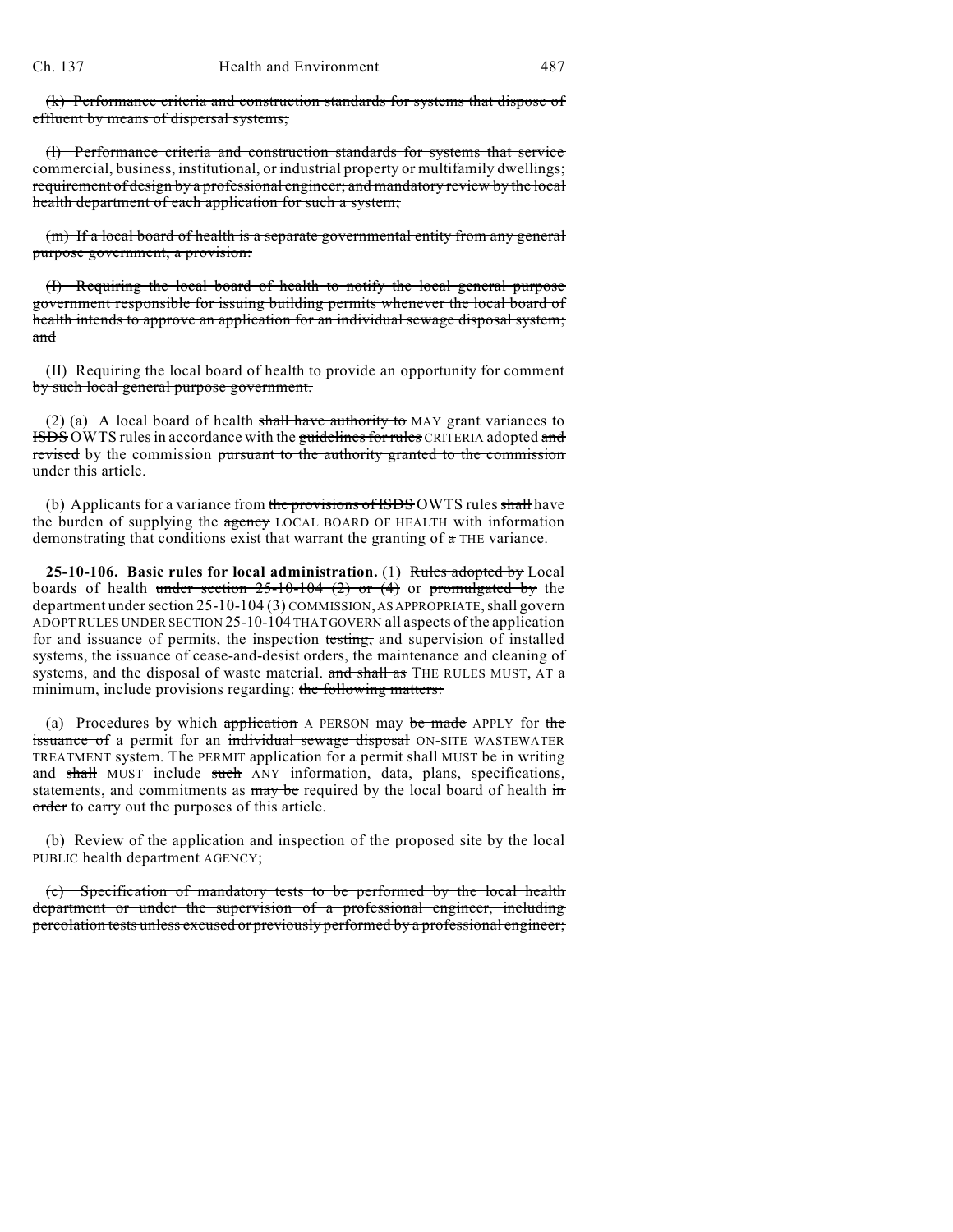(k) Performance criteria and construction standards for systems that dispose of effluent by means of dispersal systems;

(l) Performance criteria and construction standards for systems that service commercial, business, institutional, or industrial property or multifamily dwellings; requirement of design by a professional engineer; and mandatory review by the local health department of each application for such a system;

(m) If a local board of health is a separate governmental entity from any general purpose government, a provision:

(I) Requiring the local board of health to notify the local general purpose government responsible for issuing building permits whenever the local board of health intends to approve an application for an individual sewage disposal system; and

(II) Requiring the local board of health to provide an opportunity for comment by such local general purpose government.

(2) (a) A local board of health shall have authority to MAY grant variances to **ISDS** OWTS rules in accordance with the guidelines for rules CRITERIA adopted and revised by the commission pursuant to the authority granted to the commission under this article.

(b) Applicants for a variance from the provisions of ISDS OWTS rules shall have the burden of supplying the agency LOCAL BOARD OF HEALTH with information demonstrating that conditions exist that warrant the granting of a THE variance.

**25-10-106. Basic rules for local administration.** (1) Rules adopted by Local boards of health under section  $25{\text -}10{\text -}104$  (2) or (4) or promulgated by the department under section 25-10-104 (3) COMMISSION, AS APPROPRIATE, shall govern ADOPTRULES UNDER SECTION 25-10-104 THAT GOVERN all aspects of the application for and issuance of permits, the inspection testing, and supervision of installed systems, the issuance of cease-and-desist orders, the maintenance and cleaning of systems, and the disposal of waste material. and shall as THE RULES MUST, AT a minimum, include provisions regarding: the following matters:

(a) Procedures by which application A PERSON may be made APPLY for the issuance of a permit for an individual sewage disposal ON-SITE WASTEWATER TREATMENT system. The PERMIT application for a permit shall MUST be in writing and shall MUST include such ANY information, data, plans, specifications, statements, and commitments as  $\frac{m}{y}$  be required by the local board of health in order to carry out the purposes of this article.

(b) Review of the application and inspection of the proposed site by the local PUBLIC health department AGENCY;

(c) Specification of mandatory tests to be performed by the local health department or under the supervision of a professional engineer, including percolation tests unless excused or previously performed by a professional engineer;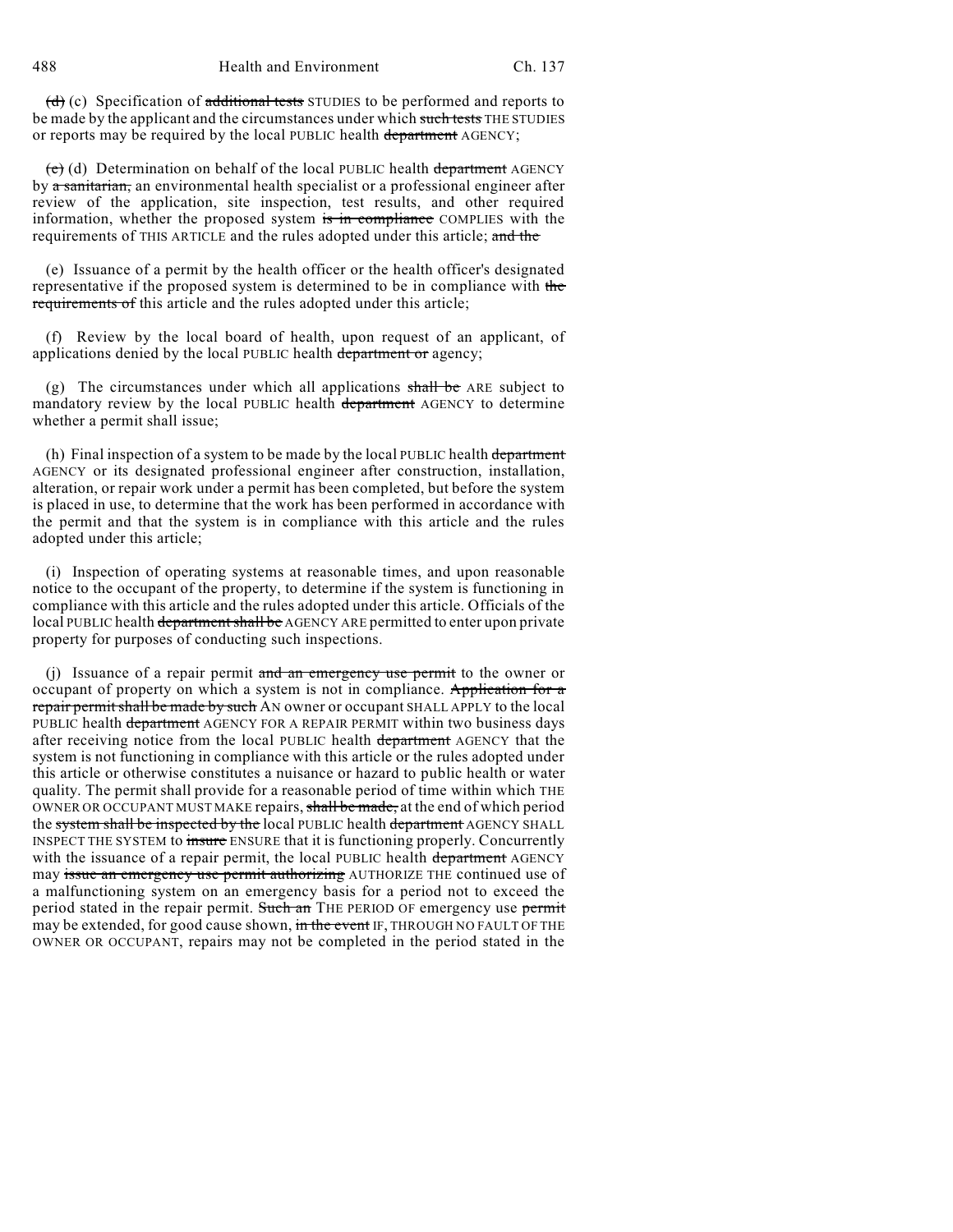$(d)$  (c) Specification of additional tests STUDIES to be performed and reports to be made by the applicant and the circumstances under which such tests THE STUDIES or reports may be required by the local PUBLIC health department AGENCY;

 $(e)$  (d) Determination on behalf of the local PUBLIC health department AGENCY by a sanitarian, an environmental health specialist or a professional engineer after review of the application, site inspection, test results, and other required information, whether the proposed system is in compliance COMPLIES with the requirements of THIS ARTICLE and the rules adopted under this article; and the

(e) Issuance of a permit by the health officer or the health officer's designated representative if the proposed system is determined to be in compliance with the requirements of this article and the rules adopted under this article;

(f) Review by the local board of health, upon request of an applicant, of applications denied by the local PUBLIC health department or agency;

(g) The circumstances under which all applications  $shall be$  ARE subject to mandatory review by the local PUBLIC health department AGENCY to determine whether a permit shall issue;

(h) Final inspection of a system to be made by the local PUBLIC health department AGENCY or its designated professional engineer after construction, installation, alteration, or repair work under a permit has been completed, but before the system is placed in use, to determine that the work has been performed in accordance with the permit and that the system is in compliance with this article and the rules adopted under this article;

(i) Inspection of operating systems at reasonable times, and upon reasonable notice to the occupant of the property, to determine if the system is functioning in compliance with this article and the rules adopted under this article. Officials of the local PUBLIC health department shall be AGENCY ARE permitted to enter upon private property for purposes of conducting such inspections.

(j) Issuance of a repair permit and an emergency use permit to the owner or occupant of property on which a system is not in compliance. Application for a repair permit shall be made by such AN owner or occupant SHALL APPLY to the local PUBLIC health department AGENCY FOR A REPAIR PERMIT within two business days after receiving notice from the local PUBLIC health department AGENCY that the system is not functioning in compliance with this article or the rules adopted under this article or otherwise constitutes a nuisance or hazard to public health or water quality. The permit shall provide for a reasonable period of time within which THE OWNER OR OCCUPANT MUST MAKE repairs, shall be made, at the end of which period the system shall be inspected by the local PUBLIC health department AGENCY SHALL INSPECT THE SYSTEM to insure ENSURE that it is functioning properly. Concurrently with the issuance of a repair permit, the local PUBLIC health department AGENCY may issue an emergency use permit authorizing AUTHORIZE THE continued use of a malfunctioning system on an emergency basis for a period not to exceed the period stated in the repair permit. Such an THE PERIOD OF emergency use permit may be extended, for good cause shown, in the event IF, THROUGH NO FAULT OF THE OWNER OR OCCUPANT, repairs may not be completed in the period stated in the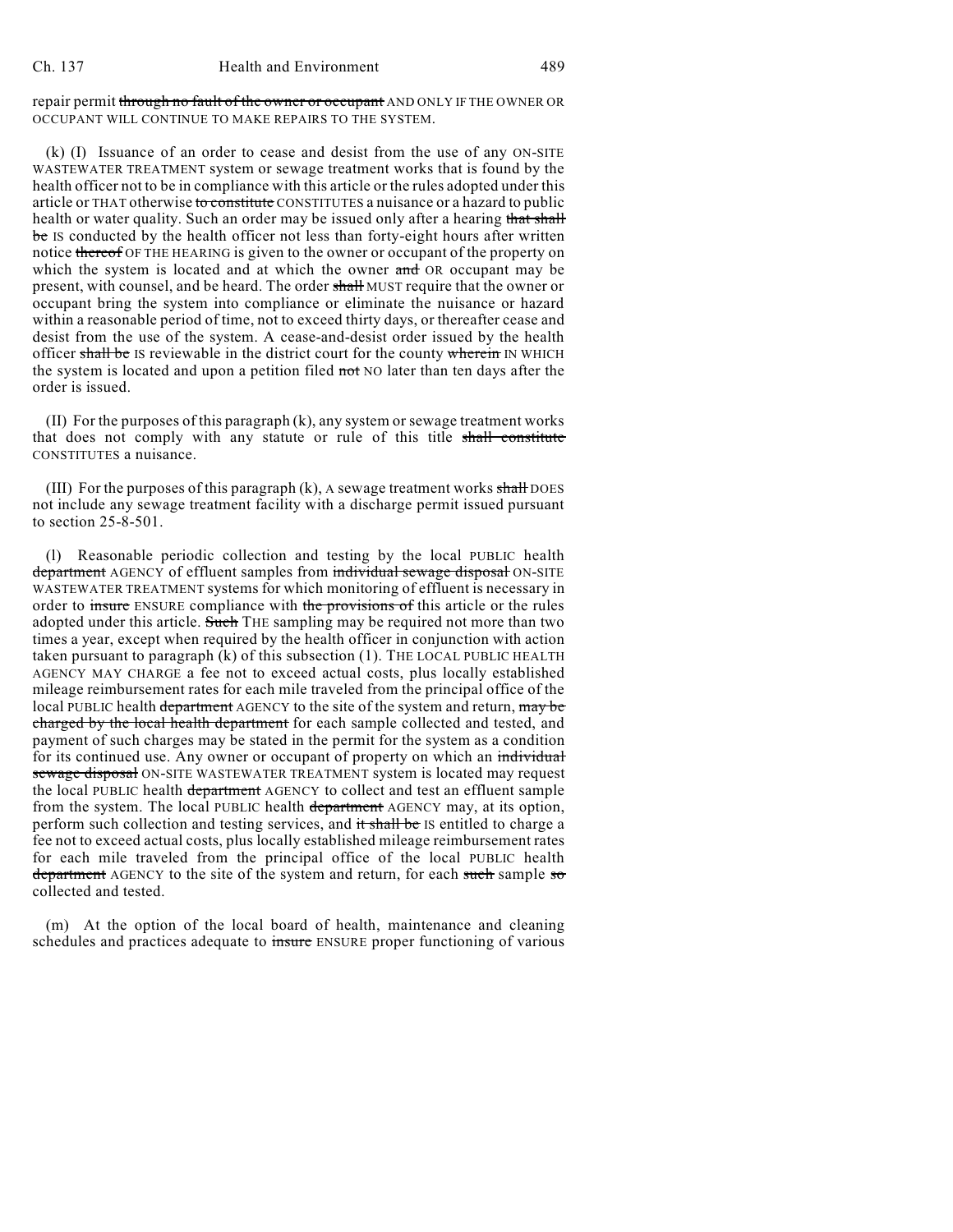repair permit through no fault of the owner or occupant AND ONLY IF THE OWNER OR OCCUPANT WILL CONTINUE TO MAKE REPAIRS TO THE SYSTEM.

(k) (I) Issuance of an order to cease and desist from the use of any ON-SITE WASTEWATER TREATMENT system or sewage treatment works that is found by the health officer not to be in compliance with this article or the rules adopted under this article or THAT otherwise to constitute CONSTITUTES a nuisance or a hazard to public health or water quality. Such an order may be issued only after a hearing that shall be IS conducted by the health officer not less than forty-eight hours after written notice thereof OF THE HEARING is given to the owner or occupant of the property on which the system is located and at which the owner and OR occupant may be present, with counsel, and be heard. The order shall MUST require that the owner or occupant bring the system into compliance or eliminate the nuisance or hazard within a reasonable period of time, not to exceed thirty days, or thereafter cease and desist from the use of the system. A cease-and-desist order issued by the health officer shall be IS reviewable in the district court for the county wherein IN WHICH the system is located and upon a petition filed not NO later than ten days after the order is issued.

(II) For the purposes of this paragraph (k), any system or sewage treatment works that does not comply with any statute or rule of this title shall constitute CONSTITUTES a nuisance.

(III) For the purposes of this paragraph  $(k)$ , A sewage treatment works shall DOES not include any sewage treatment facility with a discharge permit issued pursuant to section 25-8-501.

(l) Reasonable periodic collection and testing by the local PUBLIC health department AGENCY of effluent samples from individual sewage disposal ON-SITE WASTEWATER TREATMENT systems for which monitoring of effluent is necessary in order to insure ENSURE compliance with the provisions of this article or the rules adopted under this article. Such THE sampling may be required not more than two times a year, except when required by the health officer in conjunction with action taken pursuant to paragraph (k) of this subsection (1). THE LOCAL PUBLIC HEALTH AGENCY MAY CHARGE a fee not to exceed actual costs, plus locally established mileage reimbursement rates for each mile traveled from the principal office of the local PUBLIC health department AGENCY to the site of the system and return, may be charged by the local health department for each sample collected and tested, and payment of such charges may be stated in the permit for the system as a condition for its continued use. Any owner or occupant of property on which an individual sewage disposal ON-SITE WASTEWATER TREATMENT system is located may request the local PUBLIC health department AGENCY to collect and test an effluent sample from the system. The local PUBLIC health department AGENCY may, at its option, perform such collection and testing services, and it shall be IS entitled to charge a fee not to exceed actual costs, plus locally established mileage reimbursement rates for each mile traveled from the principal office of the local PUBLIC health department AGENCY to the site of the system and return, for each such sample so collected and tested.

(m) At the option of the local board of health, maintenance and cleaning schedules and practices adequate to insure ENSURE proper functioning of various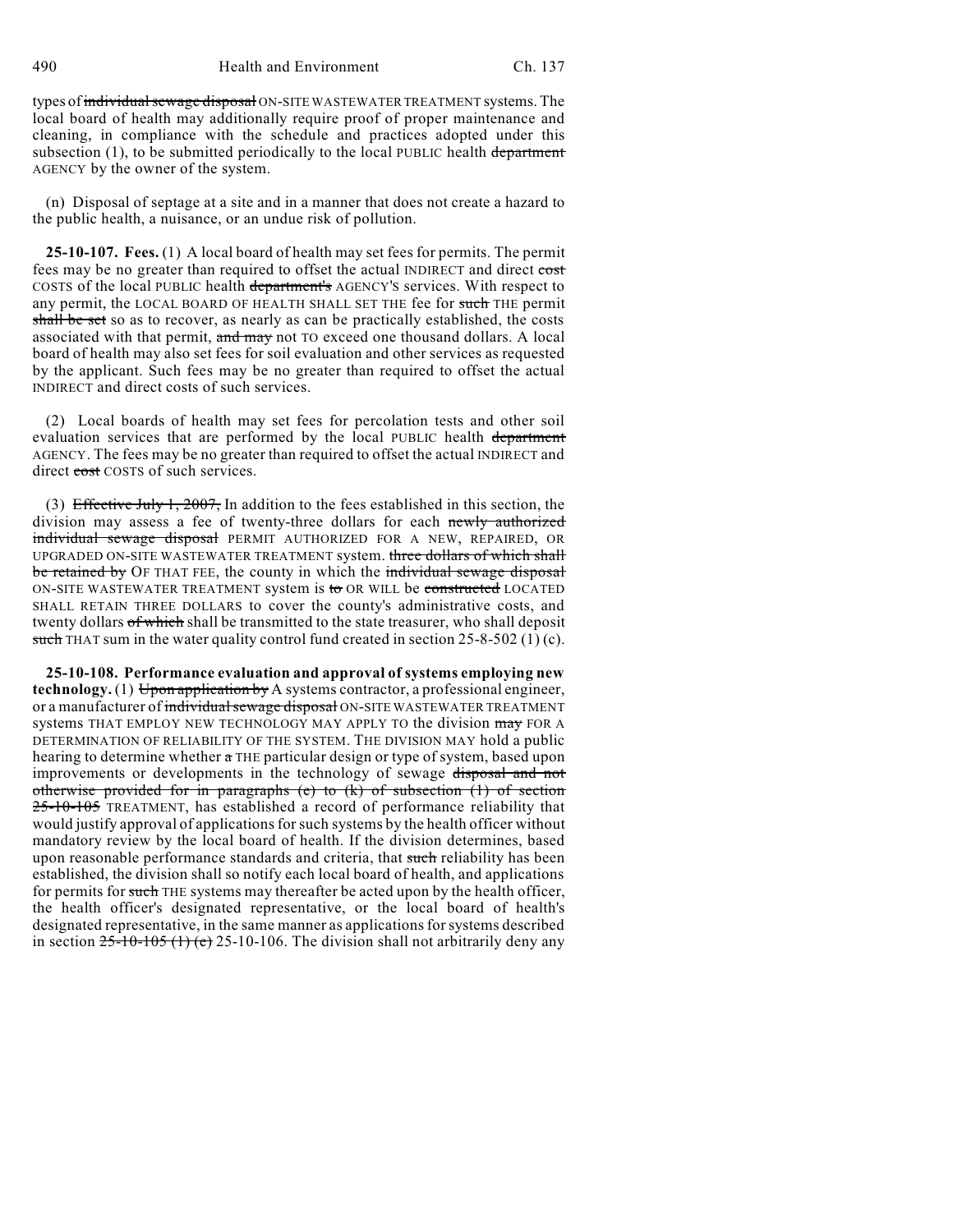490 Health and Environment Ch. 137

types of individual sewage disposal ON-SITE WASTEWATER TREATMENT systems. The local board of health may additionally require proof of proper maintenance and cleaning, in compliance with the schedule and practices adopted under this subsection  $(1)$ , to be submitted periodically to the local PUBLIC health department AGENCY by the owner of the system.

(n) Disposal of septage at a site and in a manner that does not create a hazard to the public health, a nuisance, or an undue risk of pollution.

**25-10-107. Fees.** (1) A local board of health may set fees for permits. The permit fees may be no greater than required to offset the actual INDIRECT and direct cost COSTS of the local PUBLIC health department's AGENCY'S services. With respect to any permit, the LOCAL BOARD OF HEALTH SHALL SET THE fee for such THE permit shall be set so as to recover, as nearly as can be practically established, the costs associated with that permit, and may not TO exceed one thousand dollars. A local board of health may also set fees for soil evaluation and other services as requested by the applicant. Such fees may be no greater than required to offset the actual INDIRECT and direct costs of such services.

(2) Local boards of health may set fees for percolation tests and other soil evaluation services that are performed by the local PUBLIC health department AGENCY. The fees may be no greater than required to offset the actual INDIRECT and direct cost COSTS of such services.

(3) Effective July 1, 2007, In addition to the fees established in this section, the division may assess a fee of twenty-three dollars for each newly authorized individual sewage disposal PERMIT AUTHORIZED FOR A NEW, REPAIRED, OR UPGRADED ON-SITE WASTEWATER TREATMENT system. three dollars of which shall be retained by OF THAT FEE, the county in which the individual sewage disposal ON-SITE WASTEWATER TREATMENT system is to OR WILL be constructed LOCATED SHALL RETAIN THREE DOLLARS to cover the county's administrative costs, and twenty dollars of which shall be transmitted to the state treasurer, who shall deposit such THAT sum in the water quality control fund created in section  $25-8-502$  (1) (c).

**25-10-108. Performance evaluation and approval of systems employing new technology.** (1) Upon application by A systems contractor, a professional engineer, or a manufacturer of individual sewage disposal ON-SITE WASTEWATER TREATMENT systems THAT EMPLOY NEW TECHNOLOGY MAY APPLY TO the division may FOR A DETERMINATION OF RELIABILITY OF THE SYSTEM. THE DIVISION MAY hold a public hearing to determine whether a THE particular design or type of system, based upon improvements or developments in the technology of sewage disposal and not otherwise provided for in paragraphs (e) to (k) of subsection (1) of section 25-10-105 TREATMENT, has established a record of performance reliability that would justify approval of applicationsforsuch systems by the health officer without mandatory review by the local board of health. If the division determines, based upon reasonable performance standards and criteria, that such reliability has been established, the division shall so notify each local board of health, and applications for permits for such THE systems may thereafter be acted upon by the health officer, the health officer's designated representative, or the local board of health's designated representative, in the same manner as applications for systems described in section  $25\text{-}10\text{-}105$  (1) (e) 25-10-106. The division shall not arbitrarily deny any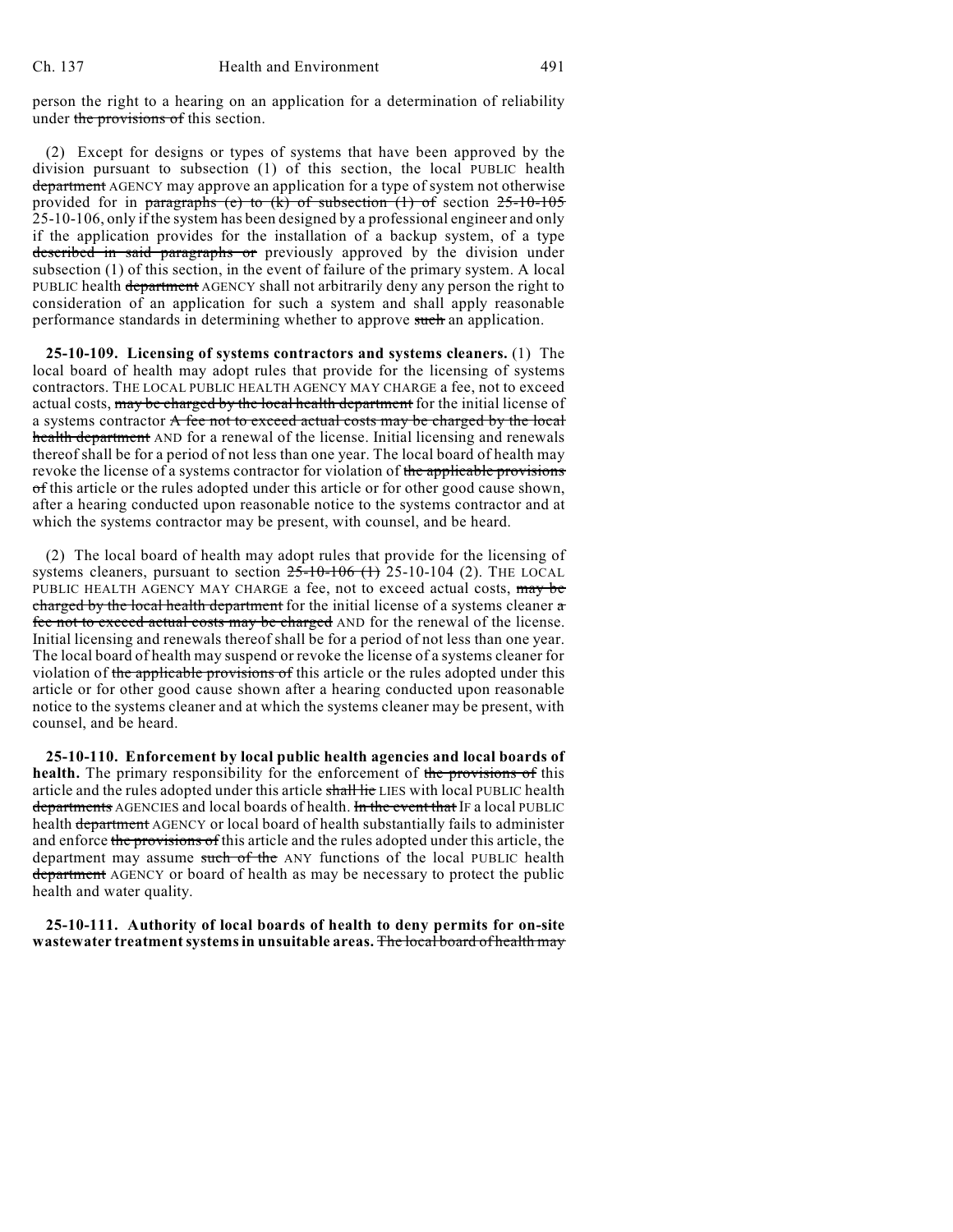person the right to a hearing on an application for a determination of reliability under the provisions of this section.

(2) Except for designs or types of systems that have been approved by the division pursuant to subsection (1) of this section, the local PUBLIC health department AGENCY may approve an application for a type of system not otherwise provided for in paragraphs (e) to  $(k)$  of subsection  $(1)$  of section  $25-10-105$ 25-10-106, only if the system has been designed by a professional engineer and only if the application provides for the installation of a backup system, of a type described in said paragraphs or previously approved by the division under subsection (1) of this section, in the event of failure of the primary system. A local PUBLIC health department AGENCY shall not arbitrarily deny any person the right to consideration of an application for such a system and shall apply reasonable performance standards in determining whether to approve such an application.

**25-10-109. Licensing of systems contractors and systems cleaners.** (1) The local board of health may adopt rules that provide for the licensing of systems contractors. THE LOCAL PUBLIC HEALTH AGENCY MAY CHARGE a fee, not to exceed actual costs, may be charged by the local health department for the initial license of a systems contractor A fee not to exceed actual costs may be charged by the local health department AND for a renewal of the license. Initial licensing and renewals thereof shall be for a period of not less than one year. The local board of health may revoke the license of a systems contractor for violation of the applicable provisions of this article or the rules adopted under this article or for other good cause shown, after a hearing conducted upon reasonable notice to the systems contractor and at which the systems contractor may be present, with counsel, and be heard.

(2) The local board of health may adopt rules that provide for the licensing of systems cleaners, pursuant to section  $25-10-106$  (1) 25-10-104 (2). THE LOCAL PUBLIC HEALTH AGENCY MAY CHARGE a fee, not to exceed actual costs, may be charged by the local health department for the initial license of a systems cleaner  $\alpha$ fee not to exceed actual costs may be charged AND for the renewal of the license. Initial licensing and renewals thereof shall be for a period of not less than one year. The local board of health may suspend or revoke the license of a systems cleaner for violation of the applicable provisions of this article or the rules adopted under this article or for other good cause shown after a hearing conducted upon reasonable notice to the systems cleaner and at which the systems cleaner may be present, with counsel, and be heard.

**25-10-110. Enforcement by local public health agencies and local boards of health.** The primary responsibility for the enforcement of the provisions of this article and the rules adopted under this article shall lie LIES with local PUBLIC health departments AGENCIES and local boards of health. In the event that IF a local PUBLIC health department AGENCY or local board of health substantially fails to administer and enforce the provisions of this article and the rules adopted under this article, the department may assume such of the ANY functions of the local PUBLIC health department AGENCY or board of health as may be necessary to protect the public health and water quality.

**25-10-111. Authority of local boards of health to deny permits for on-site wastewater treatmentsystemsin unsuitable areas.** The local board of health may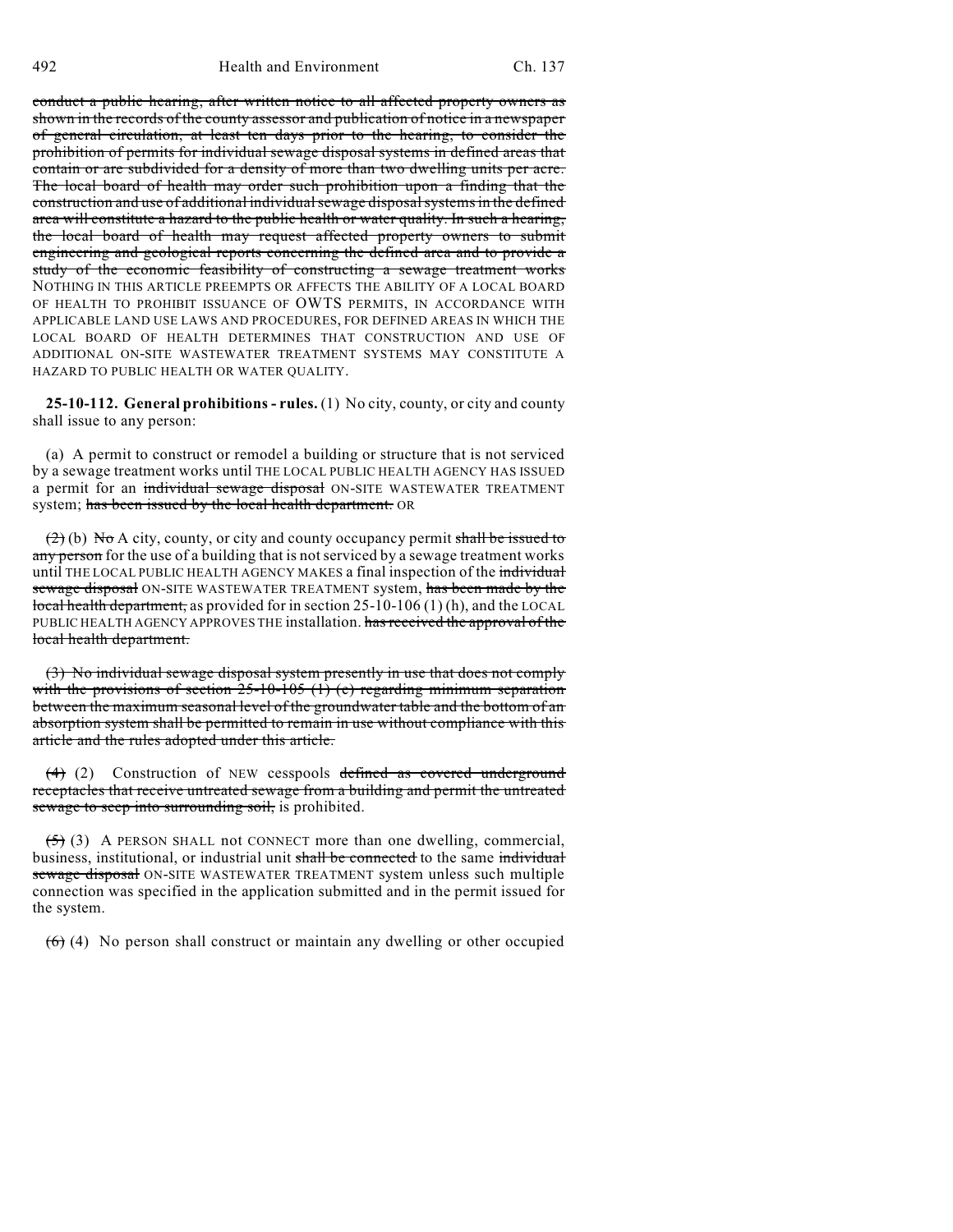conduct a public hearing, after written notice to all affected property owners as shown in the records of the county assessor and publication of notice in a newspaper of general circulation, at least ten days prior to the hearing, to consider the prohibition of permits for individual sewage disposal systems in defined areas that contain or are subdivided for a density of more than two dwelling units per acre. The local board of health may order such prohibition upon a finding that the construction and use of additional individual sewage disposal systems in the defined area will constitute a hazard to the public health or water quality. In such a hearing, the local board of health may request affected property owners to submit engineering and geological reports concerning the defined area and to provide a study of the economic feasibility of constructing a sewage treatment works NOTHING IN THIS ARTICLE PREEMPTS OR AFFECTS THE ABILITY OF A LOCAL BOARD OF HEALTH TO PROHIBIT ISSUANCE OF OWTS PERMITS, IN ACCORDANCE WITH APPLICABLE LAND USE LAWS AND PROCEDURES, FOR DEFINED AREAS IN WHICH THE LOCAL BOARD OF HEALTH DETERMINES THAT CONSTRUCTION AND USE OF ADDITIONAL ON-SITE WASTEWATER TREATMENT SYSTEMS MAY CONSTITUTE A HAZARD TO PUBLIC HEALTH OR WATER QUALITY.

**25-10-112. General prohibitions - rules.** (1) No city, county, or city and county shall issue to any person:

(a) A permit to construct or remodel a building or structure that is not serviced by a sewage treatment works until THE LOCAL PUBLIC HEALTH AGENCY HAS ISSUED a permit for an individual sewage disposal ON-SITE WASTEWATER TREATMENT system; has been issued by the local health department. OR

 $(2)$  (b) No A city, county, or city and county occupancy permit shall be issued to any person for the use of a building that is not serviced by a sewage treatment works until THE LOCAL PUBLIC HEALTH AGENCY MAKES a final inspection of the individual sewage disposal ON-SITE WASTEWATER TREATMENT system, has been made by the local health department, as provided for in section 25-10-106 (1) (h), and the LOCAL PUBLIC HEALTH AGENCY APPROVES THE installation. has received the approval of the local health department.

(3) No individual sewage disposal system presently in use that does not comply with the provisions of section  $25$ -10-105 (1) (e) regarding minimum separation between the maximum seasonal level of the groundwater table and the bottom of an absorption system shall be permitted to remain in use without compliance with this article and the rules adopted under this article.

(4) (2) Construction of NEW cesspools defined as covered underground receptacles that receive untreated sewage from a building and permit the untreated sewage to seep into surrounding soil, is prohibited.

 $(5)$  (3) A PERSON SHALL not CONNECT more than one dwelling, commercial, business, institutional, or industrial unit shall be connected to the same individual sewage disposal ON-SITE WASTEWATER TREATMENT system unless such multiple connection was specified in the application submitted and in the permit issued for the system.

 $(6)$  (4) No person shall construct or maintain any dwelling or other occupied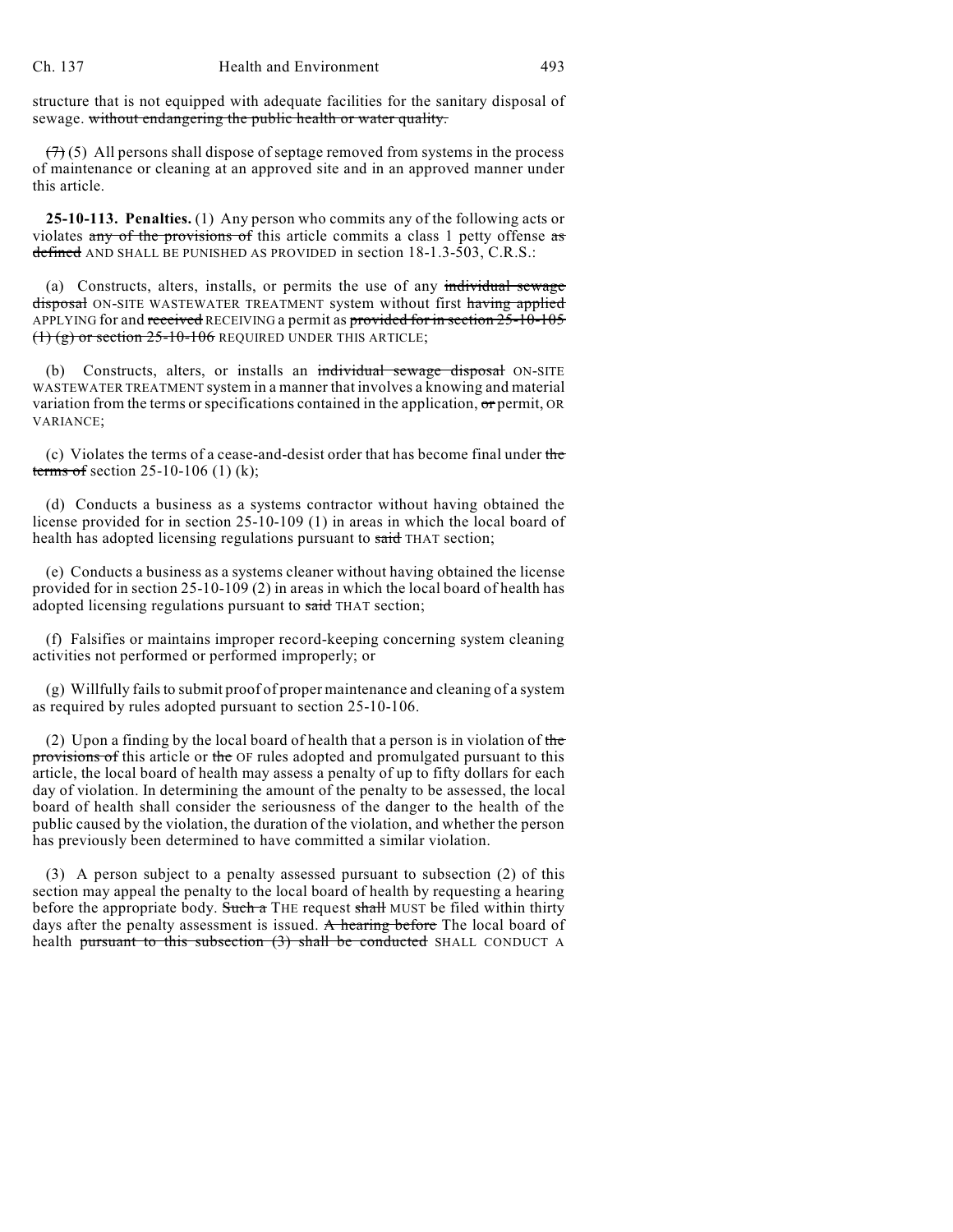structure that is not equipped with adequate facilities for the sanitary disposal of sewage. without endangering the public health or water quality.

 $(7)$  (5) All persons shall dispose of septage removed from systems in the process of maintenance or cleaning at an approved site and in an approved manner under this article.

**25-10-113. Penalties.** (1) Any person who commits any of the following acts or violates any of the provisions of this article commits a class 1 petty offense as defined AND SHALL BE PUNISHED AS PROVIDED in section 18-1.3-503, C.R.S.:

(a) Constructs, alters, installs, or permits the use of any individual sewage disposal ON-SITE WASTEWATER TREATMENT system without first having applied APPLYING for and received RECEIVING a permit as provided for in section 25-10-105  $(1)$  (g) or section  $25$ -10-106 REQUIRED UNDER THIS ARTICLE;

(b) Constructs, alters, or installs an individual sewage disposal ON-SITE WASTEWATER TREATMENT system in a manner that involves a knowing and material variation from the terms or specifications contained in the application, or permit, OR VARIANCE;

(c) Violates the terms of a cease-and-desist order that has become final under the terms of section 25-10-106 (1) (k);

(d) Conducts a business as a systems contractor without having obtained the license provided for in section 25-10-109 (1) in areas in which the local board of health has adopted licensing regulations pursuant to said THAT section;

(e) Conducts a business as a systems cleaner without having obtained the license provided for in section 25-10-109 (2) in areas in which the local board of health has adopted licensing regulations pursuant to said THAT section;

(f) Falsifies or maintains improper record-keeping concerning system cleaning activities not performed or performed improperly; or

 $(g)$  Willfully fails to submit proof of proper maintenance and cleaning of a system as required by rules adopted pursuant to section 25-10-106.

(2) Upon a finding by the local board of health that a person is in violation of the provisions of this article or the OF rules adopted and promulgated pursuant to this article, the local board of health may assess a penalty of up to fifty dollars for each day of violation. In determining the amount of the penalty to be assessed, the local board of health shall consider the seriousness of the danger to the health of the public caused by the violation, the duration of the violation, and whether the person has previously been determined to have committed a similar violation.

(3) A person subject to a penalty assessed pursuant to subsection (2) of this section may appeal the penalty to the local board of health by requesting a hearing before the appropriate body. Such a THE request shall MUST be filed within thirty days after the penalty assessment is issued. A hearing before The local board of health pursuant to this subsection (3) shall be conducted SHALL CONDUCT A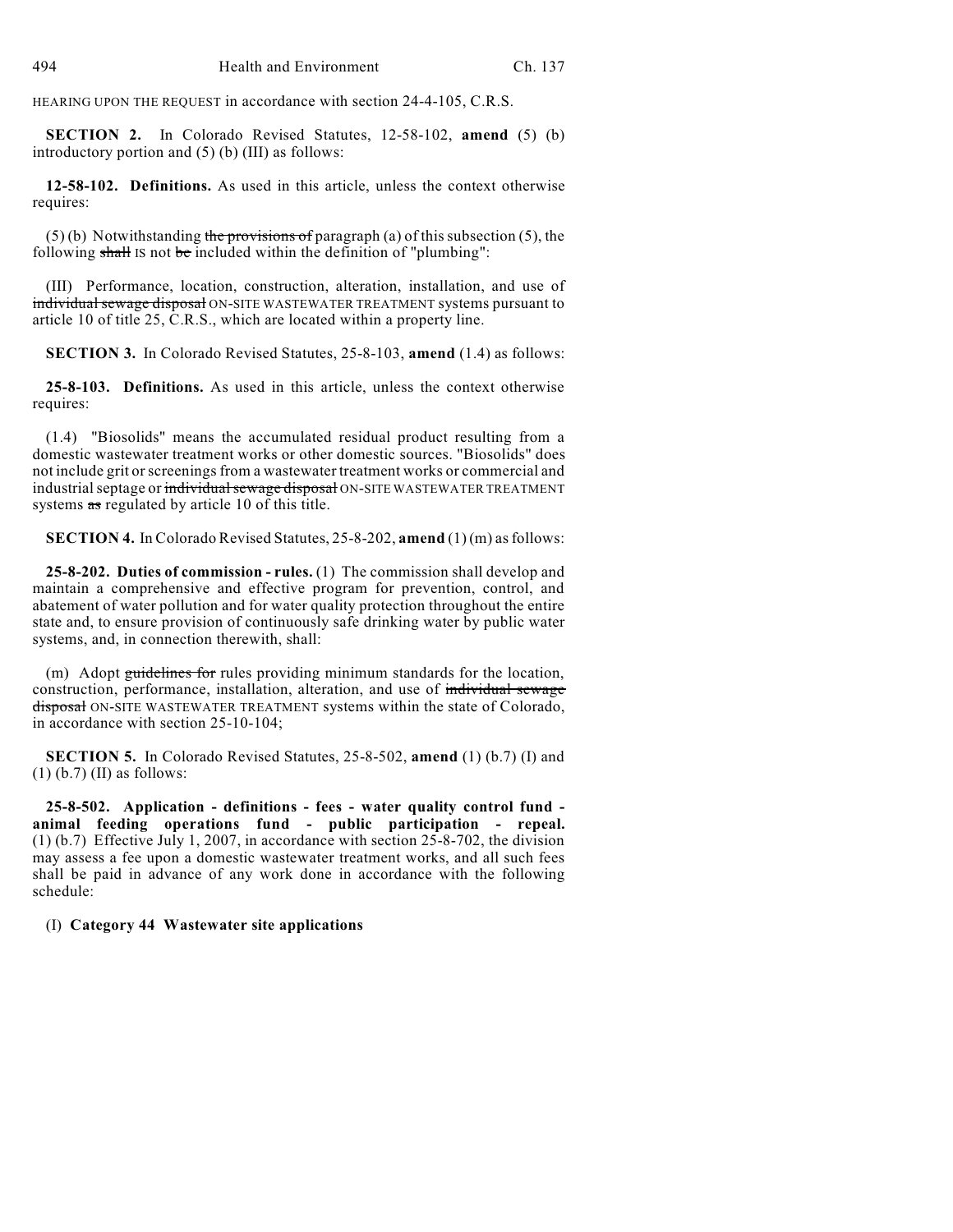HEARING UPON THE REQUEST in accordance with section 24-4-105, C.R.S.

**SECTION 2.** In Colorado Revised Statutes, 12-58-102, **amend** (5) (b) introductory portion and (5) (b) (III) as follows:

**12-58-102. Definitions.** As used in this article, unless the context otherwise requires:

 $(5)$  (b) Notwithstanding the provisions of paragraph (a) of this subsection (5), the following shall IS not be included within the definition of "plumbing":

(III) Performance, location, construction, alteration, installation, and use of individual sewage disposal ON-SITE WASTEWATER TREATMENT systems pursuant to article 10 of title 25, C.R.S., which are located within a property line.

**SECTION 3.** In Colorado Revised Statutes, 25-8-103, **amend** (1.4) as follows:

**25-8-103. Definitions.** As used in this article, unless the context otherwise requires:

(1.4) "Biosolids" means the accumulated residual product resulting from a domestic wastewater treatment works or other domestic sources. "Biosolids" does not include grit or screenings from a wastewater treatment works or commercial and industrial septage or individual sewage disposal ON-SITE WASTEWATER TREATMENT systems as regulated by article 10 of this title.

**SECTION 4.** In Colorado Revised Statutes, 25-8-202, **amend** (1) (m) asfollows:

**25-8-202. Duties of commission - rules.** (1) The commission shall develop and maintain a comprehensive and effective program for prevention, control, and abatement of water pollution and for water quality protection throughout the entire state and, to ensure provision of continuously safe drinking water by public water systems, and, in connection therewith, shall:

(m) Adopt guidelines for rules providing minimum standards for the location, construction, performance, installation, alteration, and use of individual sewage disposal ON-SITE WASTEWATER TREATMENT systems within the state of Colorado, in accordance with section 25-10-104;

**SECTION 5.** In Colorado Revised Statutes, 25-8-502, **amend** (1) (b.7) (I) and (1) (b.7) (II) as follows:

**25-8-502. Application - definitions - fees - water quality control fund animal feeding operations fund - public participation - repeal.** (1) (b.7) Effective July 1, 2007, in accordance with section 25-8-702, the division may assess a fee upon a domestic wastewater treatment works, and all such fees shall be paid in advance of any work done in accordance with the following schedule:

(I) **Category 44 Wastewater site applications**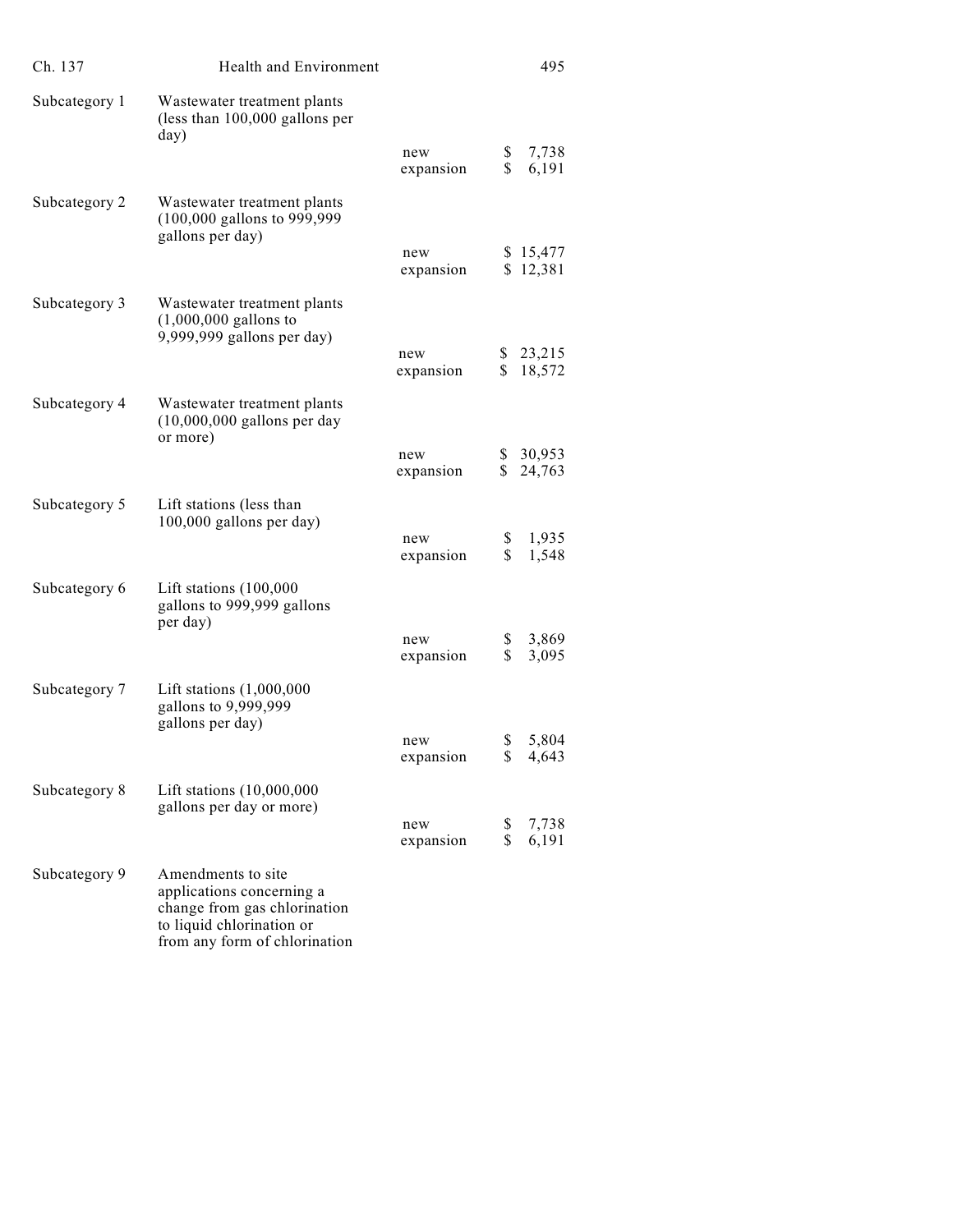| Ch. 137       | Health and Environment                                                                                                                        |                  | 495                                  |
|---------------|-----------------------------------------------------------------------------------------------------------------------------------------------|------------------|--------------------------------------|
| Subcategory 1 | Wastewater treatment plants<br>(less than $100,000$ gallons per<br>day)                                                                       |                  |                                      |
|               |                                                                                                                                               | new<br>expansion | \$<br>7,738<br>\$<br>6,191           |
| Subcategory 2 | Wastewater treatment plants<br>(100,000 gallons to 999,999<br>gallons per day)                                                                |                  |                                      |
|               |                                                                                                                                               | new<br>expansion | \$15,477<br>\$12,381                 |
| Subcategory 3 | Wastewater treatment plants<br>$(1,000,000 \text{ gallons to})$<br>9,999,999 gallons per day)                                                 |                  |                                      |
|               |                                                                                                                                               | new<br>expansion | \$23,215<br>\$<br>18,572             |
| Subcategory 4 | Wastewater treatment plants<br>$(10,000,000$ gallons per day<br>or more)                                                                      |                  |                                      |
|               |                                                                                                                                               | new<br>expansion | \$30,953<br>$\mathbb{S}^-$<br>24,763 |
| Subcategory 5 | Lift stations (less than<br>100,000 gallons per day)                                                                                          | new              | \$<br>1,935                          |
|               |                                                                                                                                               | expansion        | \$<br>1,548                          |
| Subcategory 6 | Lift stations (100,000<br>gallons to 999,999 gallons<br>per day)                                                                              |                  |                                      |
|               |                                                                                                                                               | new<br>expansion | 3,869<br>\$<br>\$<br>3,095           |
| Subcategory 7 | Lift stations $(1,000,000)$<br>gallons to 9,999,999<br>gallons per day)                                                                       |                  |                                      |
|               |                                                                                                                                               | new<br>expansion | 5,804<br>\$<br>\$4,643               |
| Subcategory 8 | Lift stations (10,000,000<br>gallons per day or more)                                                                                         | new              | 7,738<br>\$                          |
|               |                                                                                                                                               | expansion        | \$<br>6,191                          |
| Subcategory 9 | Amendments to site<br>applications concerning a<br>change from gas chlorination<br>to liquid chlorination or<br>from any form of chlorination |                  |                                      |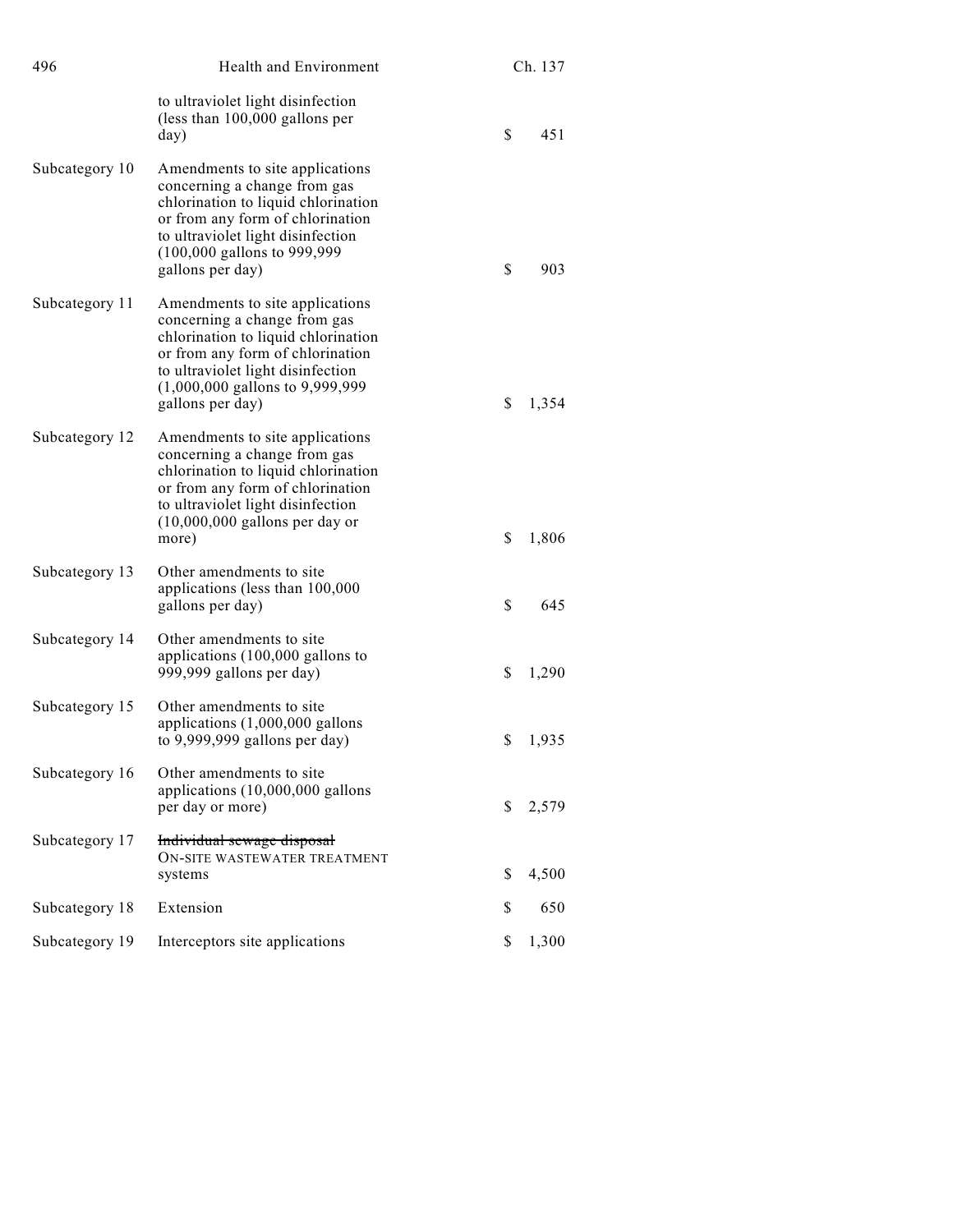| 496            | Health and Environment                                                                                                                                                                                                                   | Ch. 137     |  |
|----------------|------------------------------------------------------------------------------------------------------------------------------------------------------------------------------------------------------------------------------------------|-------------|--|
|                | to ultraviolet light disinfection<br>(less than $100,000$ gallons per<br>day)                                                                                                                                                            | \$<br>451   |  |
| Subcategory 10 | Amendments to site applications<br>concerning a change from gas<br>chlorination to liquid chlorination<br>or from any form of chlorination<br>to ultraviolet light disinfection<br>(100,000 gallons to 999,999)<br>gallons per day)      | \$<br>903   |  |
| Subcategory 11 | Amendments to site applications<br>concerning a change from gas<br>chlorination to liquid chlorination<br>or from any form of chlorination<br>to ultraviolet light disinfection<br>$(1,000,000$ gallons to 9,999,999<br>gallons per day) | \$<br>1,354 |  |
| Subcategory 12 | Amendments to site applications<br>concerning a change from gas<br>chlorination to liquid chlorination<br>or from any form of chlorination<br>to ultraviolet light disinfection<br>$(10,000,000)$ gallons per day or<br>more)            | \$<br>1,806 |  |
| Subcategory 13 | Other amendments to site<br>applications (less than 100,000<br>gallons per day)                                                                                                                                                          | \$<br>645   |  |
| Subcategory 14 | Other amendments to site<br>applications (100,000 gallons to<br>999,999 gallons per day)                                                                                                                                                 | \$<br>1,290 |  |
| Subcategory 15 | Other amendments to site<br>applications $(1,000,000$ gallons<br>to $9,999,999$ gallons per day)                                                                                                                                         | \$<br>1,935 |  |
| Subcategory 16 | Other amendments to site<br>applications (10,000,000 gallons<br>per day or more)                                                                                                                                                         | \$<br>2,579 |  |
| Subcategory 17 | Individual sewage disposal<br>ON-SITE WASTEWATER TREATMENT<br>systems                                                                                                                                                                    | \$<br>4,500 |  |
| Subcategory 18 | Extension                                                                                                                                                                                                                                | 650<br>S    |  |
| Subcategory 19 | Interceptors site applications                                                                                                                                                                                                           | \$<br>1,300 |  |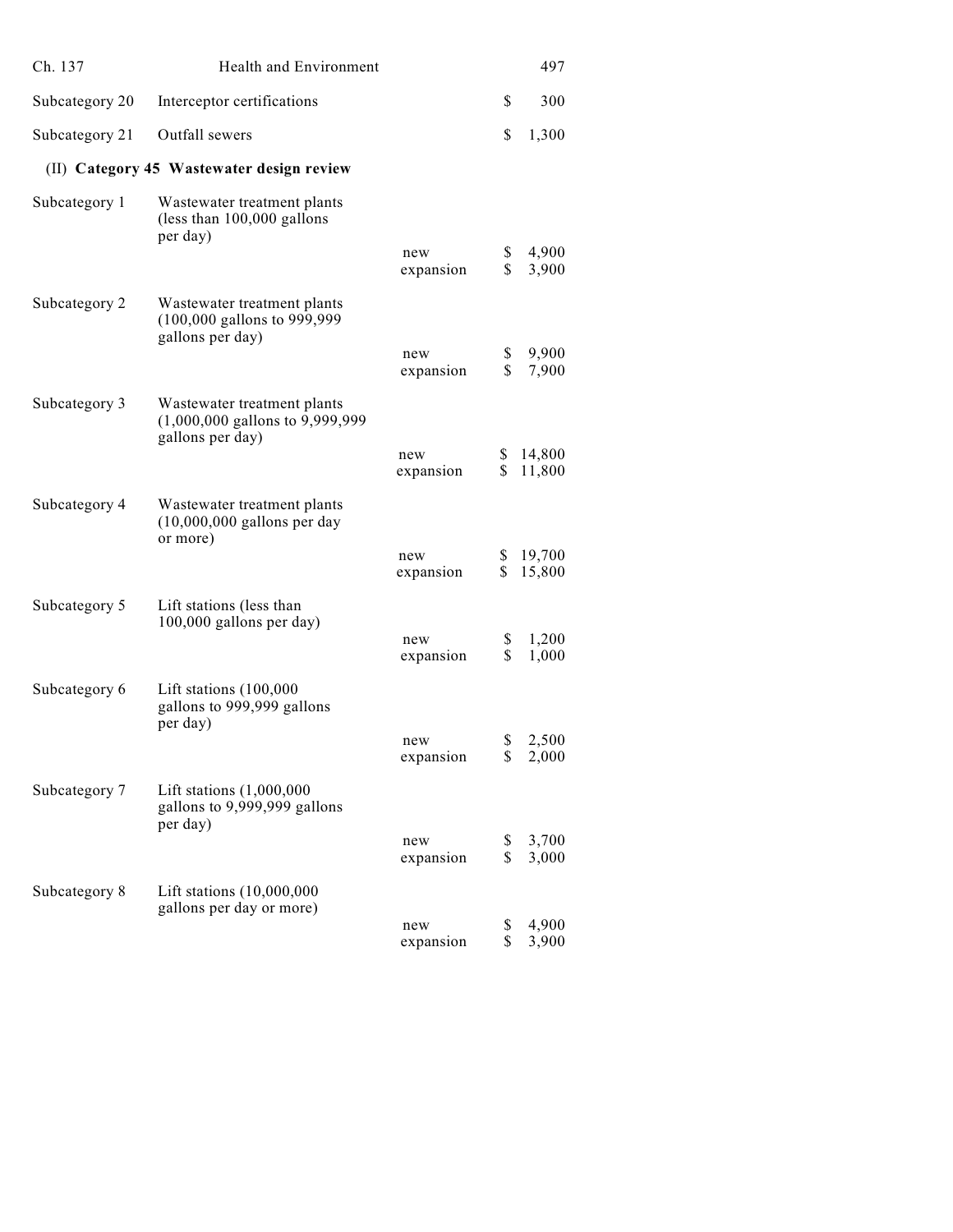| Ch. 137                                   | <b>Health and Environment</b>                                                      |                  |          | 497              |
|-------------------------------------------|------------------------------------------------------------------------------------|------------------|----------|------------------|
| Subcategory 20                            | Interceptor certifications                                                         |                  | \$       | 300              |
| Subcategory 21                            | Outfall sewers                                                                     |                  | \$       | 1,300            |
| (II) Category 45 Wastewater design review |                                                                                    |                  |          |                  |
| Subcategory 1                             | Wastewater treatment plants<br>(less than 100,000 gallons<br>per day)              |                  |          |                  |
|                                           |                                                                                    | new<br>expansion | \$<br>\$ | 4,900<br>3,900   |
| Subcategory 2                             | Wastewater treatment plants<br>(100,000 gallons to 999,999<br>gallons per day)     |                  |          |                  |
|                                           |                                                                                    | new<br>expansion | \$<br>\$ | 9,900<br>7,900   |
| Subcategory 3                             | Wastewater treatment plants<br>(1,000,000 gallons to 9,999,999<br>gallons per day) |                  |          |                  |
|                                           |                                                                                    | new<br>expansion | \$<br>\$ | 14,800<br>11,800 |
| Subcategory 4                             | Wastewater treatment plants<br>$(10,000,000$ gallons per day<br>or more)           |                  |          |                  |
|                                           |                                                                                    | new<br>expansion | S.<br>\$ | 19,700<br>15,800 |
| Subcategory 5                             | Lift stations (less than<br>100,000 gallons per day)                               |                  |          |                  |
|                                           |                                                                                    | new<br>expansion | \$<br>\$ | 1,200<br>1,000   |
| Subcategory 6                             | Lift stations (100,000<br>gallons to 999,999 gallons<br>per day)                   |                  |          |                  |
|                                           |                                                                                    | new<br>expansion | \$<br>\$ | 2,500<br>2,000   |
| Subcategory 7                             | Lift stations $(1,000,000)$<br>gallons to 9,999,999 gallons<br>per day)            |                  |          |                  |
|                                           |                                                                                    | new<br>expansion | \$<br>\$ | 3,700<br>3,000   |
| Subcategory 8                             | Lift stations (10,000,000<br>gallons per day or more)                              |                  |          |                  |
|                                           |                                                                                    | new<br>expansion | \$<br>\$ | 4,900<br>3,900   |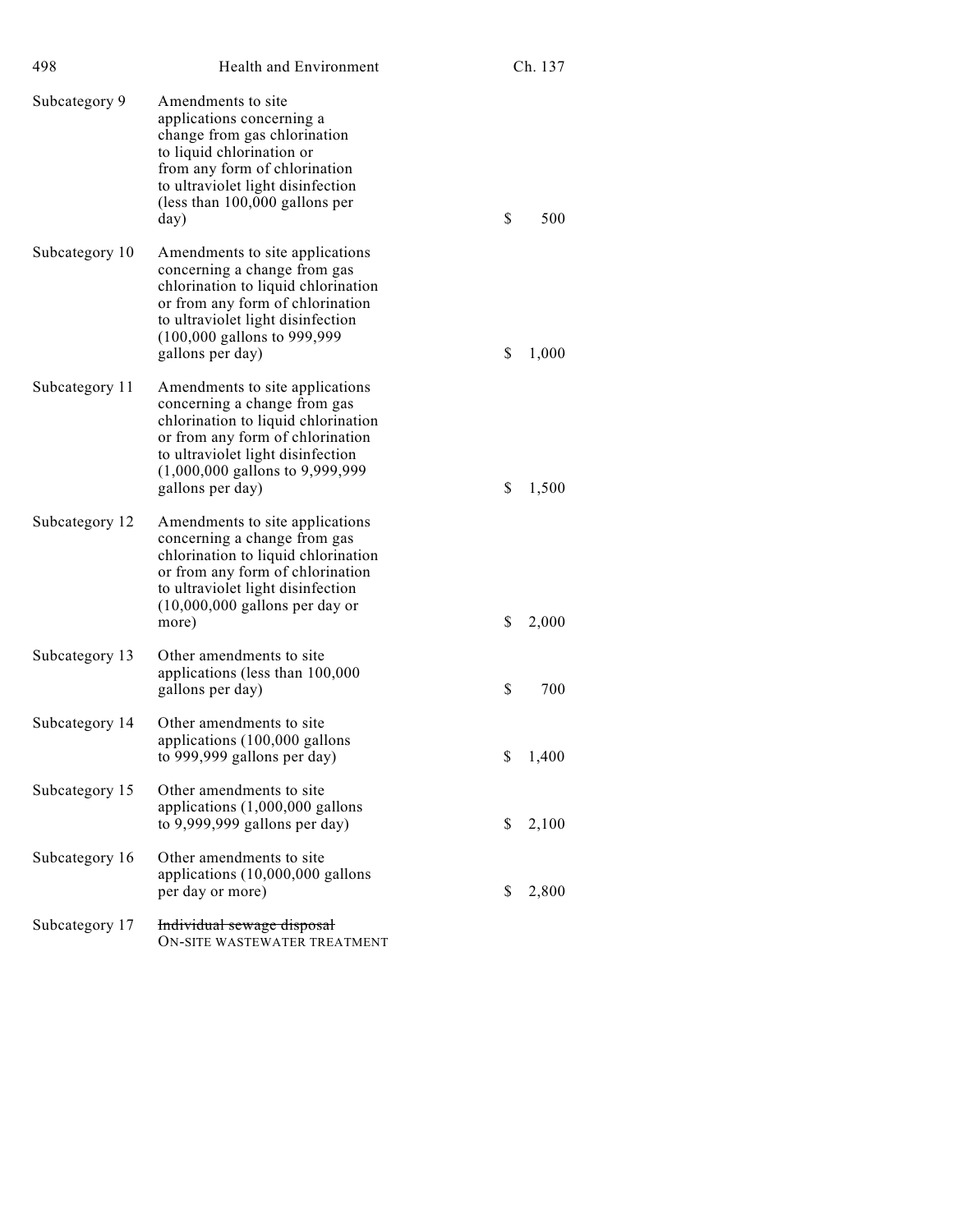| 498            | Health and Environment                                                                                                                                                                                                                             | Ch. 137     |
|----------------|----------------------------------------------------------------------------------------------------------------------------------------------------------------------------------------------------------------------------------------------------|-------------|
| Subcategory 9  | Amendments to site<br>applications concerning a<br>change from gas chlorination<br>to liquid chlorination or<br>from any form of chlorination<br>to ultraviolet light disinfection<br>(less than $100,000$ gallons per<br>day)                     | \$<br>500   |
| Subcategory 10 | Amendments to site applications<br>concerning a change from gas<br>chlorination to liquid chlorination<br>or from any form of chlorination<br>to ultraviolet light disinfection<br>$(100,000 \text{ gallons to } 999,999$<br>gallons per day)      | \$<br>1,000 |
| Subcategory 11 | Amendments to site applications<br>concerning a change from gas<br>chlorination to liquid chlorination<br>or from any form of chlorination<br>to ultraviolet light disinfection<br>$(1,000,000 \text{ gallons to } 9,999,999)$<br>gallons per day) | \$<br>1,500 |
| Subcategory 12 | Amendments to site applications<br>concerning a change from gas<br>chlorination to liquid chlorination<br>or from any form of chlorination<br>to ultraviolet light disinfection<br>$(10,000,000)$ gallons per day or<br>more)                      | \$<br>2,000 |
| Subcategory 13 | Other amendments to site<br>applications (less than 100,000<br>gallons per day)                                                                                                                                                                    | \$<br>700   |
| Subcategory 14 | Other amendments to site<br>applications (100,000 gallons<br>to 999,999 gallons per day)                                                                                                                                                           | \$<br>1,400 |
| Subcategory 15 | Other amendments to site<br>applications (1,000,000 gallons<br>to $9,999,999$ gallons per day)                                                                                                                                                     | \$<br>2,100 |
| Subcategory 16 | Other amendments to site<br>applications (10,000,000 gallons<br>per day or more)                                                                                                                                                                   | \$<br>2,800 |
| Subcategory 17 | Individual sewage disposal<br>ON-SITE WASTEWATER TREATMENT                                                                                                                                                                                         |             |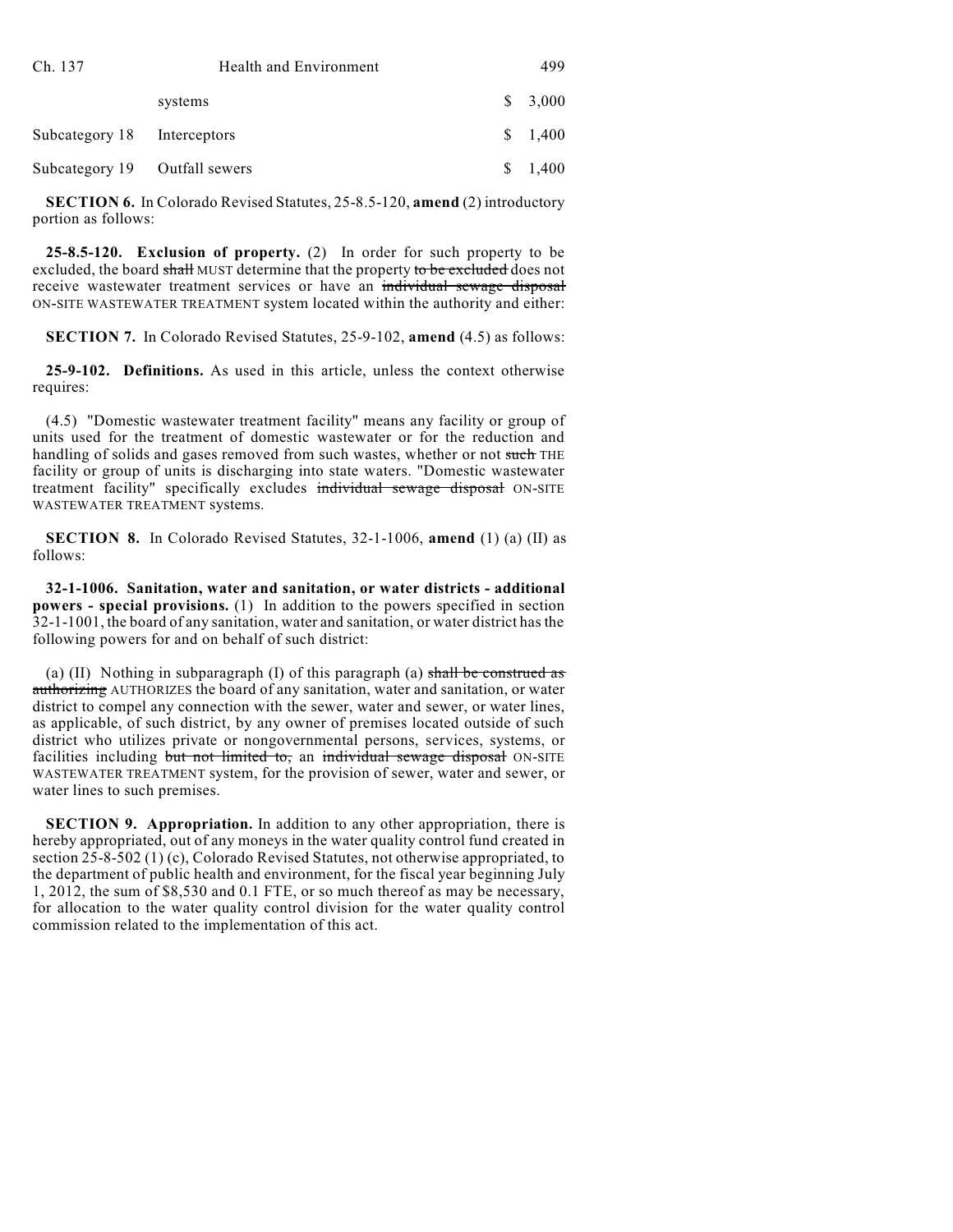| Ch. 137                       | Health and Environment | 499     |
|-------------------------------|------------------------|---------|
|                               | systems                | \$3,000 |
| Subcategory 18 Interceptors   |                        | \$1,400 |
| Subcategory 19 Outfall sewers |                        | 1,400   |

**SECTION 6.** In Colorado Revised Statutes, 25-8.5-120, **amend** (2) introductory portion as follows:

**25-8.5-120. Exclusion of property.** (2) In order for such property to be excluded, the board shall MUST determine that the property to be excluded does not receive wastewater treatment services or have an individual sewage disposal ON-SITE WASTEWATER TREATMENT system located within the authority and either:

**SECTION 7.** In Colorado Revised Statutes, 25-9-102, **amend** (4.5) as follows:

**25-9-102. Definitions.** As used in this article, unless the context otherwise requires:

(4.5) "Domestic wastewater treatment facility" means any facility or group of units used for the treatment of domestic wastewater or for the reduction and handling of solids and gases removed from such wastes, whether or not such THE facility or group of units is discharging into state waters. "Domestic wastewater treatment facility" specifically excludes individual sewage disposal ON-SITE WASTEWATER TREATMENT systems.

**SECTION 8.** In Colorado Revised Statutes, 32-1-1006, **amend** (1) (a) (II) as follows:

**32-1-1006. Sanitation, water and sanitation, or water districts - additional powers - special provisions.** (1) In addition to the powers specified in section 32-1-1001, the board of any sanitation, water and sanitation, or water district hasthe following powers for and on behalf of such district:

(a) (II) Nothing in subparagraph (I) of this paragraph (a) shall be construed as authorizing AUTHORIZES the board of any sanitation, water and sanitation, or water district to compel any connection with the sewer, water and sewer, or water lines, as applicable, of such district, by any owner of premises located outside of such district who utilizes private or nongovernmental persons, services, systems, or facilities including but not limited to, an individual sewage disposal ON-SITE WASTEWATER TREATMENT system, for the provision of sewer, water and sewer, or water lines to such premises.

**SECTION 9. Appropriation.** In addition to any other appropriation, there is hereby appropriated, out of any moneys in the water quality control fund created in section 25-8-502 (1) (c), Colorado Revised Statutes, not otherwise appropriated, to the department of public health and environment, for the fiscal year beginning July 1, 2012, the sum of \$8,530 and 0.1 FTE, or so much thereof as may be necessary, for allocation to the water quality control division for the water quality control commission related to the implementation of this act.